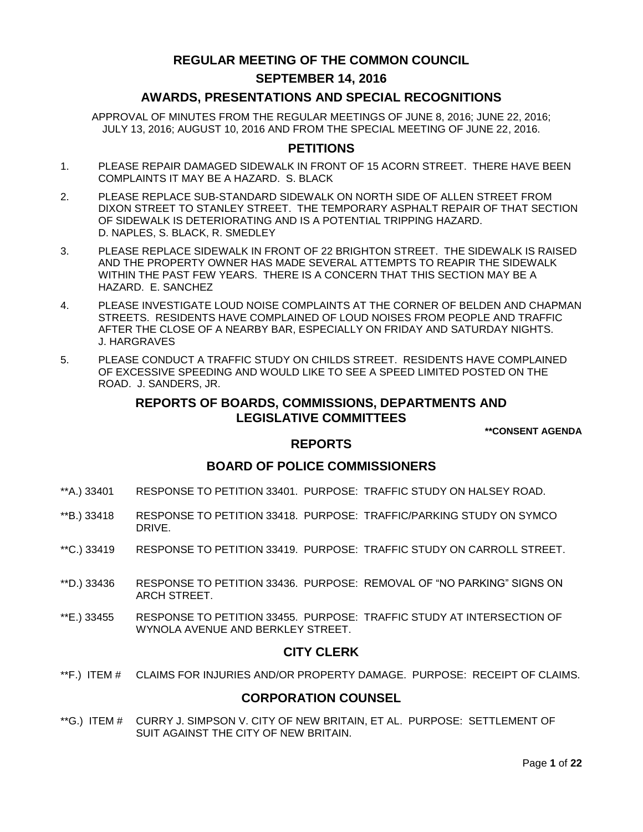## **REGULAR MEETING OF THE COMMON COUNCIL**

## **SEPTEMBER 14, 2016**

## **AWARDS, PRESENTATIONS AND SPECIAL RECOGNITIONS**

APPROVAL OF MINUTES FROM THE REGULAR MEETINGS OF JUNE 8, 2016; JUNE 22, 2016; JULY 13, 2016; AUGUST 10, 2016 AND FROM THE SPECIAL MEETING OF JUNE 22, 2016.

### **PETITIONS**

- 1. PLEASE REPAIR DAMAGED SIDEWALK IN FRONT OF 15 ACORN STREET. THERE HAVE BEEN COMPLAINTS IT MAY BE A HAZARD. S. BLACK
- 2. PLEASE REPLACE SUB-STANDARD SIDEWALK ON NORTH SIDE OF ALLEN STREET FROM DIXON STREET TO STANLEY STREET. THE TEMPORARY ASPHALT REPAIR OF THAT SECTION OF SIDEWALK IS DETERIORATING AND IS A POTENTIAL TRIPPING HAZARD. D. NAPLES, S. BLACK, R. SMEDLEY
- 3. PLEASE REPLACE SIDEWALK IN FRONT OF 22 BRIGHTON STREET. THE SIDEWALK IS RAISED AND THE PROPERTY OWNER HAS MADE SEVERAL ATTEMPTS TO REAPIR THE SIDEWALK WITHIN THE PAST FEW YEARS. THERE IS A CONCERN THAT THIS SECTION MAY BE A HAZARD. E. SANCHEZ
- 4. PLEASE INVESTIGATE LOUD NOISE COMPLAINTS AT THE CORNER OF BELDEN AND CHAPMAN STREETS. RESIDENTS HAVE COMPLAINED OF LOUD NOISES FROM PEOPLE AND TRAFFIC AFTER THE CLOSE OF A NEARBY BAR, ESPECIALLY ON FRIDAY AND SATURDAY NIGHTS. J. HARGRAVES
- 5. PLEASE CONDUCT A TRAFFIC STUDY ON CHILDS STREET. RESIDENTS HAVE COMPLAINED OF EXCESSIVE SPEEDING AND WOULD LIKE TO SEE A SPEED LIMITED POSTED ON THE ROAD. J. SANDERS, JR.

## **REPORTS OF BOARDS, COMMISSIONS, DEPARTMENTS AND LEGISLATIVE COMMITTEES**

**\*\*CONSENT AGENDA**

## **REPORTS**

## **BOARD OF POLICE COMMISSIONERS**

- \*\*A.) 33401 [RESPONSE TO PETITION 33401. PURPOSE: TRAFFIC STUDY ON HALSEY ROAD.](#page-3-0)
- \*\*B.) 33418 [RESPONSE TO PETITION 33418. PURPOSE: TRAFFIC/PARKING STUDY ON SYMCO](#page-4-0)  [DRIVE.](#page-4-0)
- \*\*C.) 33419 [RESPONSE TO PETITION 33419. PURPOSE: TRAFFIC STUDY ON CARROLL STREET.](#page-4-1)
- \*\*D.) 33436 [RESPONSE TO PETITION 33436. PURPOSE: REMOVAL OF "NO PARKING" SIGNS ON](#page-4-2)  [ARCH STREET.](#page-4-2)
- \*\*E.) 33455 [RESPONSE TO PETITION 33455. PURPOSE: TRAFFIC STUDY AT INTERSECTION OF](#page-5-0)  [WYNOLA AVENUE AND BERKLEY STREET.](#page-5-0)

## **CITY CLERK**

\*\*F.) ITEM # [CLAIMS FOR INJURIES AND/OR PROPERTY DAMAGE. PURPOSE: RECEIPT OF CLAIMS.](#page-5-1)

## **CORPORATION COUNSEL**

\*\*G.) ITEM # [CURRY J. SIMPSON V. CITY OF NEW BRITAIN, ET AL. PURPOSE: SETTLEMENT OF](#page-5-2)  [SUIT AGAINST THE CITY OF NEW BRITAIN.](#page-5-2)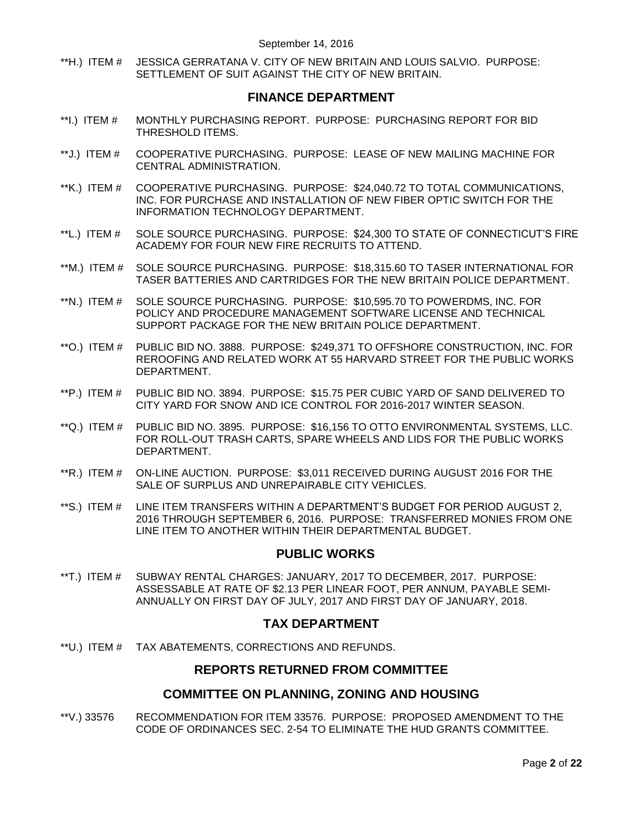\*\*H.) ITEM # [JESSICA GERRATANA V. CITY OF NEW BRITAIN AND LOUIS SALVIO. PURPOSE:](#page-6-0)  [SETTLEMENT OF SUIT AGAINST THE CITY OF NEW BRITAIN.](#page-6-0) 

## **FINANCE DEPARTMENT**

- \*\*I.) ITEM # [MONTHLY PURCHASING REPORT. PURPOSE: PURCHASING REPORT FOR BID](#page-6-1)  [THRESHOLD ITEMS.](#page-6-1)
- \*\*J.) ITEM # [COOPERATIVE PURCHASING. PURPOSE: LEASE OF](#page-7-0) NEW MAILING MACHINE FOR [CENTRAL ADMINISTRATION.](#page-7-0)
- \*\*K.) ITEM # [COOPERATIVE PURCHASING. PURPOSE: \\$24,040.72 TO TOTAL COMMUNICATIONS,](#page-7-1)  [INC. FOR PURCHASE AND INSTALLATION OF NEW FIBER OPTIC SWITCH FOR THE](#page-7-1)  [INFORMATION TECHNOLOGY DEPARTMENT.](#page-7-1)
- \*\*L.) ITEM # [SOLE SOURCE PURCHASING. PURPOSE: \\$24,300 TO STATE OF CONNECTICUT'S FIRE](#page-8-0)  [ACADEMY FOR FOUR NEW FIRE RECRUITS TO ATTEND.](#page-8-0)
- \*\*M.) ITEM # [SOLE SOURCE PURCHASING. PURPOSE: \\$18,315.60 TO TASER INTERNATIONAL FOR](#page-8-1)  [TASER BATTERIES AND CARTRIDGES FOR THE NEW BRITAIN POLICE DEPARTMENT.](#page-8-1)
- \*\*N.) ITEM # [SOLE SOURCE PURCHASING. PURPOSE: \\$10,595.70 TO POWERDMS, INC. FOR](#page-9-0)  [POLICY AND PROCEDURE MANAGEMENT SOFTWARE LICENSE AND TECHNICAL](#page-9-0)  [SUPPORT PACKAGE FOR THE NEW BRITAIN POLICE DEPARTMENT.](#page-9-0)
- \*\*O.) ITEM # [PUBLIC BID NO. 3888. PURPOSE: \\$249,371 TO OFFSHORE CONSTRUCTION, INC. FOR](#page-10-0)  [REROOFING AND RELATED WORK AT 55 HARVARD STREET FOR THE PUBLIC WORKS](#page-10-0)  [DEPARTMENT.](#page-10-0)
- \*\*P.) ITEM # [PUBLIC BID NO. 3894. PURPOSE: \\$15.75 PER CUBIC YARD OF SAND DELIVERED TO](#page-10-1)  [CITY YARD FOR SNOW AND ICE CONTROL FOR 2016-2017 WINTER SEASON.](#page-10-1)
- \*\*Q.) ITEM # [PUBLIC BID NO. 3895. PURPOSE: \\$16,156 TO OTTO ENVIRONMENTAL SYSTEMS, LLC.](#page-11-0)  [FOR ROLL-OUT TRASH CARTS, SPARE WHEELS AND LIDS FOR THE PUBLIC WORKS](#page-11-0)  [DEPARTMENT.](#page-11-0)
- \*\*R.) ITEM # ON-LINE AUCTION. PURPOSE: \$3,011 [RECEIVED DURING AUGUST 2016 FOR THE](#page-12-0)  [SALE OF SURPLUS AND UNREPAIRABLE CITY VEHICLES.](#page-12-0)
- \*\*S.) ITEM # [LINE ITEM TRANSFERS WITHIN A DEPARTMENT'S BUDGET FOR PERIOD AUGUST 2,](#page-12-1)  [2016 THROUGH SEPTEMBER 6, 2016. PURPOSE: TRANSFERRED MONIES FROM ONE](#page-12-1)  [LINE ITEM TO ANOTHER WITHIN THEIR DEPARTMENTAL BUDGET.](#page-12-1)

## **PUBLIC WORKS**

\*\*T.) ITEM # [SUBWAY RENTAL CHARGES: JANUARY, 2017 TO DECEMBER, 2017. PURPOSE:](#page-13-0)  ASSESSABLE AT RATE OF \$2.13 [PER LINEAR FOOT, PER ANNUM, PAYABLE SEMI-](#page-13-0)[ANNUALLY ON FIRST DAY OF JULY, 2017 AND FIRST DAY OF JANUARY, 2018.](#page-13-0)

## **TAX DEPARTMENT**

\*\*U.) ITEM # [TAX ABATEMENTS, CORRECTIONS AND REFUNDS.](#page-13-1)

## **REPORTS RETURNED FROM COMMITTEE**

## **COMMITTEE ON PLANNING, ZONING AND HOUSING**

\*\*V.) 33576 [RECOMMENDATION FOR ITEM 33576. PURPOSE: PROPOSED AMENDMENT TO THE](#page-13-2)  [CODE OF ORDINANCES SEC. 2-54 TO ELIMINATE THE HUD GRANTS COMMITTEE.](#page-13-2)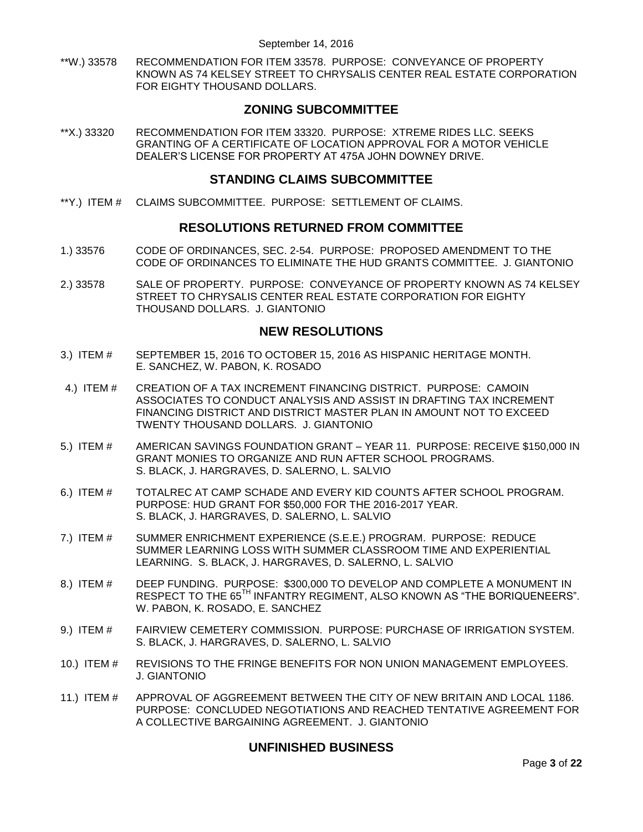\*\*W.) 33578 [RECOMMENDATION FOR ITEM 33578. PURPOSE: CONVEYANCE OF PROPERTY](#page-14-0)  [KNOWN AS 74 KELSEY STREET TO CHRYSALIS CENTER REAL ESTATE CORPORATION](#page-14-0)  [FOR EIGHTY THOUSAND DOLLARS.](#page-14-0)

## **ZONING SUBCOMMITTEE**

\*\*X.) 33320 [RECOMMENDATION FOR ITEM 33320. PURPOSE: XTREME RIDES LLC. SEEKS](#page-14-1)  [GRANTING OF A CERTIFICATE OF LOCATION APPROVAL FOR A MOTOR VEHICLE](#page-14-1)  [DEALER'S LICENSE FOR PROPERTY AT 475A JOHN DOWNEY DRIVE.](#page-14-1)

## **STANDING CLAIMS SUBCOMMITTEE**

\*\*Y.) ITEM # [CLAIMS SUBCOMMITTEE. PURPOSE: SETTLEMENT OF CLAIMS.](#page-14-2)

## **RESOLUTIONS RETURNED FROM COMMITTEE**

- 1.) 33576 [CODE OF ORDINANCES, SEC. 2-54. PURPOSE: PROPOSED AMENDMENT TO THE](#page-15-0)  [CODE OF ORDINANCES TO ELIMINATE THE HUD GRANTS COMMITTEE. J. GIANTONIO](#page-15-0)
- 2.) 33578 [SALE OF PROPERTY. PURPOSE: CONVEYANCE OF PROPERTY KNOWN AS 74 KELSEY](#page-15-1)  [STREET TO CHRYSALIS CENTER REAL ESTATE CORPORATION FOR EIGHTY](#page-15-1)  [THOUSAND DOLLARS. J. GIANTONIO](#page-15-1)

## **NEW RESOLUTIONS**

- 3.) ITEM # SEPTEMBER 15, 2016 TO OCTOBER 15, 2016 [AS HISPANIC HERITAGE MONTH.](#page-16-0)  [E. SANCHEZ, W. PABON, K. ROSADO](#page-16-0)
- 4.) ITEM # [CREATION OF A TAX INCREMENT FINANCING DISTRICT. PURPOSE: CAMOIN](#page-17-0)  [ASSOCIATES TO CONDUCT ANALYSIS AND ASSIST IN DRAFTING TAX INCREMENT](#page-17-0)  [FINANCING DISTRICT AND DISTRICT MASTER PLAN IN AMOUNT NOT TO EXCEED](#page-17-0)  [TWENTY THOUSAND DOLLARS. J. GIANTONIO](#page-17-0)
- 5.) ITEM # [AMERICAN SAVINGS FOUNDATION GRANT –](#page-17-1) YEAR 11. PURPOSE: RECEIVE \$150,000 IN [GRANT MONIES TO ORGANIZE AND RUN AFTER SCHOOL PROGRAMS.](#page-17-1)  S. BLACK, [J. HARGRAVES, D. SALERNO, L. SALVIO](#page-17-1)
- 6.) ITEM # [TOTALREC AT CAMP SCHADE AND EVERY KID COUNTS AFTER SCHOOL PROGRAM.](#page-18-0)  [PURPOSE: HUD GRANT FOR \\$50,000 FOR THE 2016-2017 YEAR.](#page-18-0)  S. BLACK, [J. HARGRAVES, D. SALERNO, L. SALVIO](#page-18-0)
- 7.) ITEM # [SUMMER ENRICHMENT EXPERIENCE \(S.E.E.\) PROGRAM. PURPOSE: REDUCE](#page-19-0)  [SUMMER LEARNING LOSS WITH SUMMER CLASSROOM TIME AND EXPERIENTIAL](#page-19-0)  LEARNING. S. BLACK, [J. HARGRAVES, D. SALERNO, L. SALVIO](#page-19-0)
- 8.) ITEM # [DEEP FUNDING. PURPOSE: \\$300,000 TO DEVELOP AND COMPLETE A MONUMENT IN](#page-20-0)  RESPECT TO THE 65<sup>TH</sup> INFANTRY REGIMENT, ALSO KNOWN AS "THE BORIQUENEERS". [W. PABON, K. ROSADO, E. SANCHEZ](#page-20-0)
- 9.) ITEM # [FAIRVIEW CEMETERY COMMISSION. PURPOSE: PURCHASE OF IRRIGATION](#page-20-1) SYSTEM. S. BLACK, [J. HARGRAVES, D. SALERNO, L. SALVIO](#page-20-1)
- 10.) ITEM # [REVISIONS TO THE FRINGE BENEFITS FOR NON UNION MANAGEMENT EMPLOYEES.](#page-20-2) [J. GIANTONIO](#page-20-2)
- 11.) ITEM # [APPROVAL OF AGGREEMENT BETWEEN THE CITY OF NEW BRITAIN](#page-21-0) AND LOCAL 1186. [PURPOSE: CONCLUDED NEGOTIATIONS AND REACHED TENTATIVE AGREEMENT FOR](#page-21-0)  [A COLLECTIVE BARGAINING AGREEMENT. J. GIANTONIO](#page-21-0)

## **UNFINISHED BUSINESS**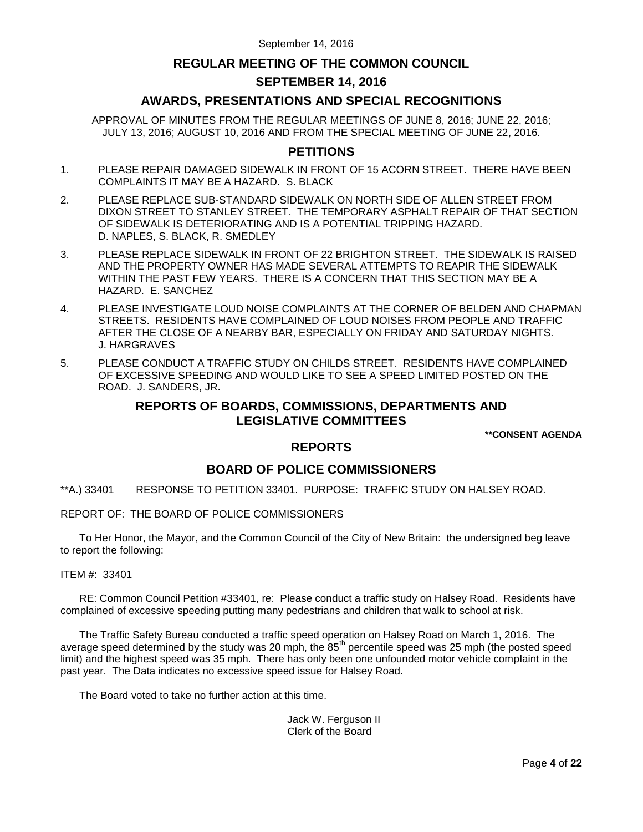## **REGULAR MEETING OF THE COMMON COUNCIL**

## **SEPTEMBER 14, 2016**

## **AWARDS, PRESENTATIONS AND SPECIAL RECOGNITIONS**

APPROVAL OF MINUTES FROM THE REGULAR MEETINGS OF JUNE 8, 2016; JUNE 22, 2016; JULY 13, 2016; AUGUST 10, 2016 AND FROM THE SPECIAL MEETING OF JUNE 22, 2016.

## **PETITIONS**

- 1. PLEASE REPAIR DAMAGED SIDEWALK IN FRONT OF 15 ACORN STREET. THERE HAVE BEEN COMPLAINTS IT MAY BE A HAZARD. S. BLACK
- 2. PLEASE REPLACE SUB-STANDARD SIDEWALK ON NORTH SIDE OF ALLEN STREET FROM DIXON STREET TO STANLEY STREET. THE TEMPORARY ASPHALT REPAIR OF THAT SECTION OF SIDEWALK IS DETERIORATING AND IS A POTENTIAL TRIPPING HAZARD. D. NAPLES, S. BLACK, R. SMEDLEY
- 3. PLEASE REPLACE SIDEWALK IN FRONT OF 22 BRIGHTON STREET. THE SIDEWALK IS RAISED AND THE PROPERTY OWNER HAS MADE SEVERAL ATTEMPTS TO REAPIR THE SIDEWALK WITHIN THE PAST FEW YEARS. THERE IS A CONCERN THAT THIS SECTION MAY BE A HAZARD. E. SANCHEZ
- 4. PLEASE INVESTIGATE LOUD NOISE COMPLAINTS AT THE CORNER OF BELDEN AND CHAPMAN STREETS. RESIDENTS HAVE COMPLAINED OF LOUD NOISES FROM PEOPLE AND TRAFFIC AFTER THE CLOSE OF A NEARBY BAR, ESPECIALLY ON FRIDAY AND SATURDAY NIGHTS. J. HARGRAVES
- 5. PLEASE CONDUCT A TRAFFIC STUDY ON CHILDS STREET. RESIDENTS HAVE COMPLAINED OF EXCESSIVE SPEEDING AND WOULD LIKE TO SEE A SPEED LIMITED POSTED ON THE ROAD. J. SANDERS, JR.

## **REPORTS OF BOARDS, COMMISSIONS, DEPARTMENTS AND LEGISLATIVE COMMITTEES**

**\*\*CONSENT AGENDA**

## **REPORTS**

## **BOARD OF POLICE COMMISSIONERS**

<span id="page-3-0"></span>\*\*A.) 33401 RESPONSE TO PETITION 33401. PURPOSE: TRAFFIC STUDY ON HALSEY ROAD.

### REPORT OF: THE BOARD OF POLICE COMMISSIONERS

To Her Honor, the Mayor, and the Common Council of the City of New Britain: the undersigned beg leave to report the following:

ITEM #: 33401

RE: Common Council Petition #33401, re: Please conduct a traffic study on Halsey Road. Residents have complained of excessive speeding putting many pedestrians and children that walk to school at risk.

The Traffic Safety Bureau conducted a traffic speed operation on Halsey Road on March 1, 2016. The average speed determined by the study was 20 mph, the  $85<sup>th</sup>$  percentile speed was 25 mph (the posted speed limit) and the highest speed was 35 mph. There has only been one unfounded motor vehicle complaint in the past year. The Data indicates no excessive speed issue for Halsey Road.

The Board voted to take no further action at this time.

Jack W. Ferguson II Clerk of the Board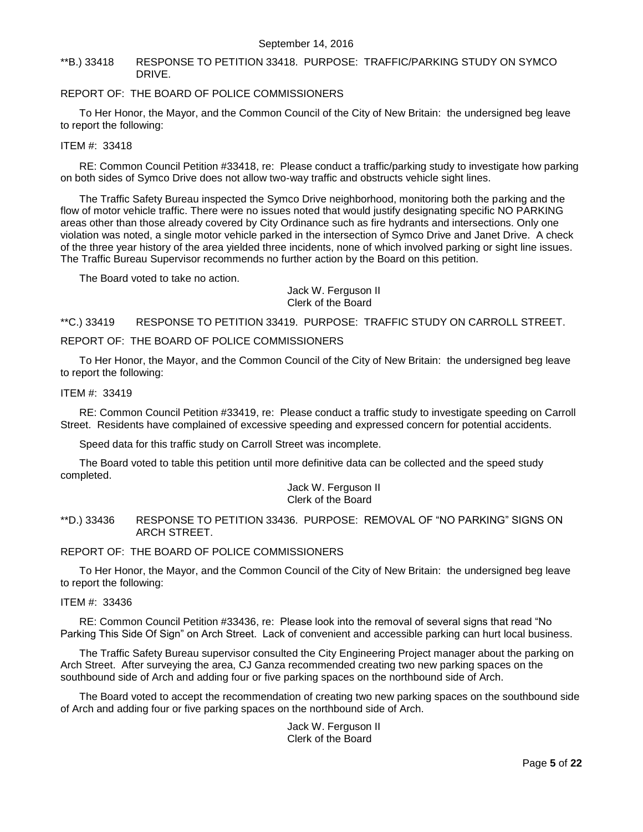### <span id="page-4-0"></span>\*\*B.) 33418 RESPONSE TO PETITION 33418. PURPOSE: TRAFFIC/PARKING STUDY ON SYMCO DRIVE.

## REPORT OF: THE BOARD OF POLICE COMMISSIONERS

To Her Honor, the Mayor, and the Common Council of the City of New Britain: the undersigned beg leave to report the following:

#### ITEM #: 33418

RE: Common Council Petition #33418, re: Please conduct a traffic/parking study to investigate how parking on both sides of Symco Drive does not allow two-way traffic and obstructs vehicle sight lines.

The Traffic Safety Bureau inspected the Symco Drive neighborhood, monitoring both the parking and the flow of motor vehicle traffic. There were no issues noted that would justify designating specific NO PARKING areas other than those already covered by City Ordinance such as fire hydrants and intersections. Only one violation was noted, a single motor vehicle parked in the intersection of Symco Drive and Janet Drive. A check of the three year history of the area yielded three incidents, none of which involved parking or sight line issues. The Traffic Bureau Supervisor recommends no further action by the Board on this petition.

The Board voted to take no action.

### Jack W. Ferguson II Clerk of the Board

<span id="page-4-1"></span>\*\*C.) 33419 RESPONSE TO PETITION 33419. PURPOSE: TRAFFIC STUDY ON CARROLL STREET.

#### REPORT OF: THE BOARD OF POLICE COMMISSIONERS

To Her Honor, the Mayor, and the Common Council of the City of New Britain: the undersigned beg leave to report the following:

#### ITEM #: 33419

RE: Common Council Petition #33419, re: Please conduct a traffic study to investigate speeding on Carroll Street. Residents have complained of excessive speeding and expressed concern for potential accidents.

Speed data for this traffic study on Carroll Street was incomplete.

The Board voted to table this petition until more definitive data can be collected and the speed study completed.

> Jack W. Ferguson II Clerk of the Board

### <span id="page-4-2"></span>\*\*D.) 33436 RESPONSE TO PETITION 33436. PURPOSE: REMOVAL OF "NO PARKING" SIGNS ON ARCH STREET.

#### REPORT OF: THE BOARD OF POLICE COMMISSIONERS

To Her Honor, the Mayor, and the Common Council of the City of New Britain: the undersigned beg leave to report the following:

#### ITEM #: 33436

RE: Common Council Petition #33436, re: Please look into the removal of several signs that read "No Parking This Side Of Sign" on Arch Street. Lack of convenient and accessible parking can hurt local business.

The Traffic Safety Bureau supervisor consulted the City Engineering Project manager about the parking on Arch Street. After surveying the area, CJ Ganza recommended creating two new parking spaces on the southbound side of Arch and adding four or five parking spaces on the northbound side of Arch.

The Board voted to accept the recommendation of creating two new parking spaces on the southbound side of Arch and adding four or five parking spaces on the northbound side of Arch.

Jack W. Ferguson II Clerk of the Board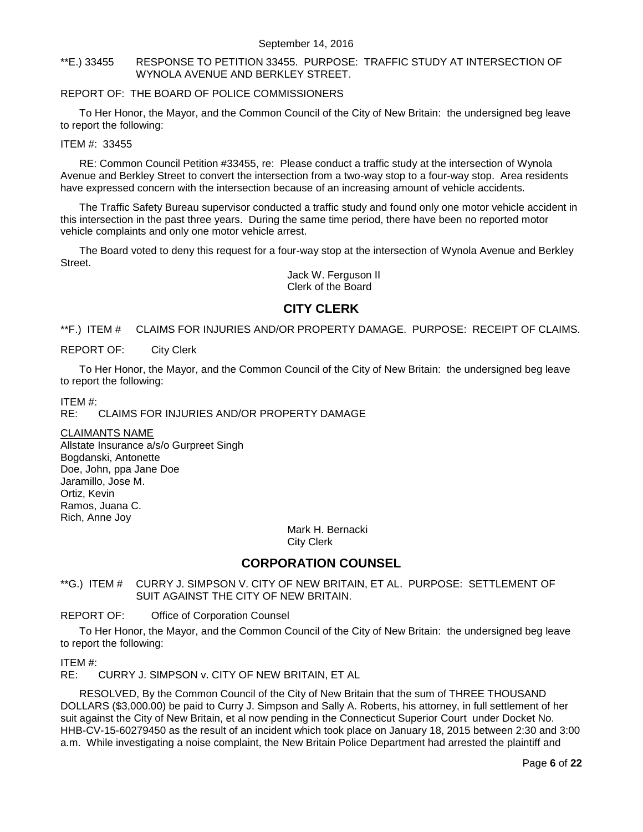### <span id="page-5-0"></span>\*\*E.) 33455 RESPONSE TO PETITION 33455. PURPOSE: TRAFFIC STUDY AT INTERSECTION OF WYNOLA AVENUE AND BERKLEY STREET.

### REPORT OF: THE BOARD OF POLICE COMMISSIONERS

To Her Honor, the Mayor, and the Common Council of the City of New Britain: the undersigned beg leave to report the following:

#### ITEM #: 33455

RE: Common Council Petition #33455, re: Please conduct a traffic study at the intersection of Wynola Avenue and Berkley Street to convert the intersection from a two-way stop to a four-way stop. Area residents have expressed concern with the intersection because of an increasing amount of vehicle accidents.

The Traffic Safety Bureau supervisor conducted a traffic study and found only one motor vehicle accident in this intersection in the past three years. During the same time period, there have been no reported motor vehicle complaints and only one motor vehicle arrest.

The Board voted to deny this request for a four-way stop at the intersection of Wynola Avenue and Berkley Street.

> Jack W. Ferguson II Clerk of the Board

## **CITY CLERK**

<span id="page-5-1"></span>\*\*F.) ITEM # CLAIMS FOR INJURIES AND/OR PROPERTY DAMAGE. PURPOSE: RECEIPT OF CLAIMS.

#### REPORT OF: City Clerk

To Her Honor, the Mayor, and the Common Council of the City of New Britain: the undersigned beg leave to report the following:

ITEM #:

RE: CLAIMS FOR INJURIES AND/OR PROPERTY DAMAGE

CLAIMANTS NAME

Allstate Insurance a/s/o Gurpreet Singh Bogdanski, Antonette Doe, John, ppa Jane Doe Jaramillo, Jose M. Ortiz, Kevin Ramos, Juana C. Rich, Anne Joy

> Mark H. Bernacki City Clerk

## **CORPORATION COUNSEL**

<span id="page-5-2"></span>\*\*G.) ITEM # CURRY J. SIMPSON V. CITY OF NEW BRITAIN, ET AL. PURPOSE: SETTLEMENT OF SUIT AGAINST THE CITY OF NEW BRITAIN.

REPORT OF: Office of Corporation Counsel

To Her Honor, the Mayor, and the Common Council of the City of New Britain: the undersigned beg leave to report the following:

ITEM #:

RE: CURRY J. SIMPSON v. CITY OF NEW BRITAIN, ET AL

RESOLVED, By the Common Council of the City of New Britain that the sum of THREE THOUSAND DOLLARS (\$3,000.00) be paid to Curry J. Simpson and Sally A. Roberts, his attorney, in full settlement of her suit against the City of New Britain, et al now pending in the Connecticut Superior Court under Docket No. HHB-CV-15-60279450 as the result of an incident which took place on January 18, 2015 between 2:30 and 3:00 a.m. While investigating a noise complaint, the New Britain Police Department had arrested the plaintiff and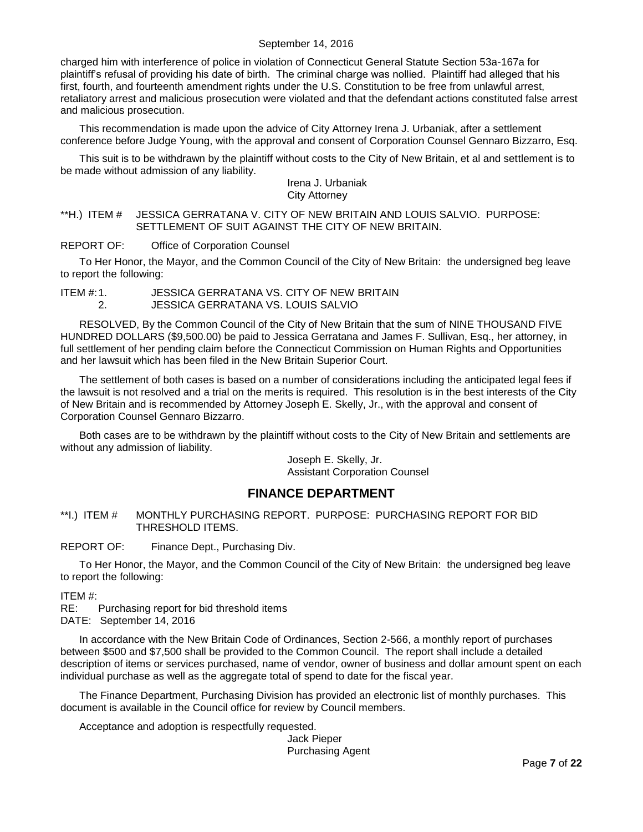charged him with interference of police in violation of Connecticut General Statute Section 53a-167a for plaintiff's refusal of providing his date of birth. The criminal charge was nollied. Plaintiff had alleged that his first, fourth, and fourteenth amendment rights under the U.S. Constitution to be free from unlawful arrest, retaliatory arrest and malicious prosecution were violated and that the defendant actions constituted false arrest and malicious prosecution.

This recommendation is made upon the advice of City Attorney Irena J. Urbaniak, after a settlement conference before Judge Young, with the approval and consent of Corporation Counsel Gennaro Bizzarro, Esq.

This suit is to be withdrawn by the plaintiff without costs to the City of New Britain, et al and settlement is to be made without admission of any liability.

#### Irena J. Urbaniak City Attorney

### <span id="page-6-0"></span>\*\*H.) ITEM # JESSICA GERRATANA V. CITY OF NEW BRITAIN AND LOUIS SALVIO. PURPOSE: SETTLEMENT OF SUIT AGAINST THE CITY OF NEW BRITAIN.

REPORT OF: Office of Corporation Counsel

To Her Honor, the Mayor, and the Common Council of the City of New Britain: the undersigned beg leave to report the following:

ITEM #:1. JESSICA GERRATANA VS. CITY OF NEW BRITAIN 2. JESSICA GERRATANA VS. LOUIS SALVIO

RESOLVED, By the Common Council of the City of New Britain that the sum of NINE THOUSAND FIVE HUNDRED DOLLARS (\$9,500.00) be paid to Jessica Gerratana and James F. Sullivan, Esq., her attorney, in full settlement of her pending claim before the Connecticut Commission on Human Rights and Opportunities and her lawsuit which has been filed in the New Britain Superior Court.

The settlement of both cases is based on a number of considerations including the anticipated legal fees if the lawsuit is not resolved and a trial on the merits is required. This resolution is in the best interests of the City of New Britain and is recommended by Attorney Joseph E. Skelly, Jr., with the approval and consent of Corporation Counsel Gennaro Bizzarro.

Both cases are to be withdrawn by the plaintiff without costs to the City of New Britain and settlements are without any admission of liability.

> Joseph E. Skelly, Jr. Assistant Corporation Counsel

## **FINANCE DEPARTMENT**

<span id="page-6-1"></span>\*\*I.) ITEM # MONTHLY PURCHASING REPORT. PURPOSE: PURCHASING REPORT FOR BID THRESHOLD ITEMS.

REPORT OF: Finance Dept., Purchasing Div.

To Her Honor, the Mayor, and the Common Council of the City of New Britain: the undersigned beg leave to report the following:

ITEM #:

RE: Purchasing report for bid threshold items DATE: September 14, 2016

In accordance with the New Britain Code of Ordinances, Section 2-566, a monthly report of purchases between \$500 and \$7,500 shall be provided to the Common Council. The report shall include a detailed description of items or services purchased, name of vendor, owner of business and dollar amount spent on each individual purchase as well as the aggregate total of spend to date for the fiscal year.

The Finance Department, Purchasing Division has provided an electronic list of monthly purchases. This document is available in the Council office for review by Council members.

Acceptance and adoption is respectfully requested.

Jack Pieper Purchasing Agent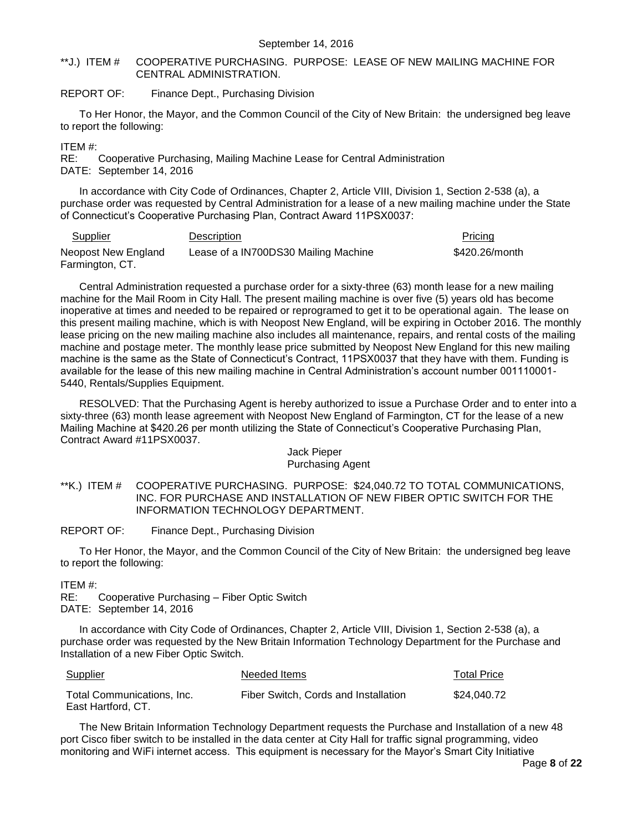<span id="page-7-0"></span>\*\*J.) ITEM # COOPERATIVE PURCHASING. PURPOSE: LEASE OF NEW MAILING MACHINE FOR CENTRAL ADMINISTRATION.

REPORT OF: Finance Dept., Purchasing Division

To Her Honor, the Mayor, and the Common Council of the City of New Britain: the undersigned beg leave to report the following:

ITEM #:

RE: Cooperative Purchasing, Mailing Machine Lease for Central Administration DATE: September 14, 2016

In accordance with City Code of Ordinances, Chapter 2, Article VIII, Division 1, Section 2-538 (a), a purchase order was requested by Central Administration for a lease of a new mailing machine under the State of Connecticut's Cooperative Purchasing Plan, Contract Award 11PSX0037:

| <b>Supplier</b>     | Description                          | Pricing        |
|---------------------|--------------------------------------|----------------|
| Neopost New England | Lease of a IN700DS30 Mailing Machine | \$420.26/month |
| Farmington, CT.     |                                      |                |

Central Administration requested a purchase order for a sixty-three (63) month lease for a new mailing machine for the Mail Room in City Hall. The present mailing machine is over five (5) years old has become inoperative at times and needed to be repaired or reprogramed to get it to be operational again. The lease on this present mailing machine, which is with Neopost New England, will be expiring in October 2016. The monthly lease pricing on the new mailing machine also includes all maintenance, repairs, and rental costs of the mailing machine and postage meter. The monthly lease price submitted by Neopost New England for this new mailing machine is the same as the State of Connecticut's Contract, 11PSX0037 that they have with them. Funding is available for the lease of this new mailing machine in Central Administration's account number 001110001- 5440, Rentals/Supplies Equipment.

RESOLVED: That the Purchasing Agent is hereby authorized to issue a Purchase Order and to enter into a sixty-three (63) month lease agreement with Neopost New England of Farmington, CT for the lease of a new Mailing Machine at \$420.26 per month utilizing the State of Connecticut's Cooperative Purchasing Plan, Contract Award #11PSX0037.

### Jack Pieper Purchasing Agent

<span id="page-7-1"></span>\*\*K.) ITEM # COOPERATIVE PURCHASING. PURPOSE: \$24,040.72 TO TOTAL COMMUNICATIONS, INC. FOR PURCHASE AND INSTALLATION OF NEW FIBER OPTIC SWITCH FOR THE INFORMATION TECHNOLOGY DEPARTMENT.

REPORT OF: Finance Dept., Purchasing Division

To Her Honor, the Mayor, and the Common Council of the City of New Britain: the undersigned beg leave to report the following:

ITEM #:

RE: Cooperative Purchasing – Fiber Optic Switch DATE: September 14, 2016

In accordance with City Code of Ordinances, Chapter 2, Article VIII, Division 1, Section 2-538 (a), a purchase order was requested by the New Britain Information Technology Department for the Purchase and Installation of a new Fiber Optic Switch.

| Supplier                                         | Needed Items                         | <b>Total Price</b> |
|--------------------------------------------------|--------------------------------------|--------------------|
| Total Communications. Inc.<br>East Hartford, CT. | Fiber Switch, Cords and Installation | \$24,040.72        |

The New Britain Information Technology Department requests the Purchase and Installation of a new 48 port Cisco fiber switch to be installed in the data center at City Hall for traffic signal programming, video monitoring and WiFi internet access. This equipment is necessary for the Mayor's Smart City Initiative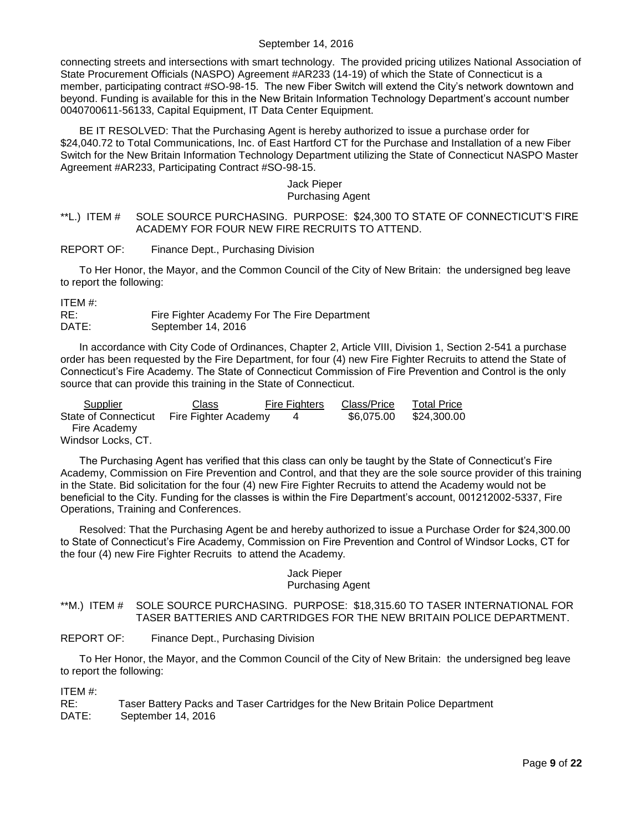connecting streets and intersections with smart technology. The provided pricing utilizes National Association of State Procurement Officials (NASPO) Agreement #AR233 (14-19) of which the State of Connecticut is a member, participating contract #SO-98-15. The new Fiber Switch will extend the City's network downtown and beyond. Funding is available for this in the New Britain Information Technology Department's account number 0040700611-56133, Capital Equipment, IT Data Center Equipment.

BE IT RESOLVED: That the Purchasing Agent is hereby authorized to issue a purchase order for \$24,040.72 to Total Communications, Inc. of East Hartford CT for the Purchase and Installation of a new Fiber Switch for the New Britain Information Technology Department utilizing the State of Connecticut NASPO Master Agreement #AR233, Participating Contract #SO-98-15.

#### Jack Pieper Purchasing Agent

### <span id="page-8-0"></span>\*\*L.) ITEM # SOLE SOURCE PURCHASING. PURPOSE: \$24,300 TO STATE OF CONNECTICUT'S FIRE ACADEMY FOR FOUR NEW FIRE RECRUITS TO ATTEND.

REPORT OF: Finance Dept., Purchasing Division

To Her Honor, the Mayor, and the Common Council of the City of New Britain: the undersigned beg leave to report the following:

ITEM #:

| RE:   | Fire Fighter Academy For The Fire Department |
|-------|----------------------------------------------|
| DATE: | September 14, 2016                           |

In accordance with City Code of Ordinances, Chapter 2, Article VIII, Division 1, Section 2-541 a purchase order has been requested by the Fire Department, for four (4) new Fire Fighter Recruits to attend the State of Connecticut's Fire Academy. The State of Connecticut Commission of Fire Prevention and Control is the only source that can provide this training in the State of Connecticut.

| Supplier             | Class                | <b>Fire Fighters</b> | Class/Price | Total Price |
|----------------------|----------------------|----------------------|-------------|-------------|
| State of Connecticut | Fire Fighter Academy |                      | \$6,075,00  | \$24.300.00 |
| Fire Academy         |                      |                      |             |             |
| Windsor Locks, CT.   |                      |                      |             |             |

The Purchasing Agent has verified that this class can only be taught by the State of Connecticut's Fire Academy, Commission on Fire Prevention and Control, and that they are the sole source provider of this training in the State. Bid solicitation for the four (4) new Fire Fighter Recruits to attend the Academy would not be beneficial to the City. Funding for the classes is within the Fire Department's account, 001212002-5337, Fire Operations, Training and Conferences.

Resolved: That the Purchasing Agent be and hereby authorized to issue a Purchase Order for \$24,300.00 to State of Connecticut's Fire Academy, Commission on Fire Prevention and Control of Windsor Locks, CT for the four (4) new Fire Fighter Recruits to attend the Academy.

## Jack Pieper Purchasing Agent

#### <span id="page-8-1"></span>\*\*M.) ITEM # SOLE SOURCE PURCHASING. PURPOSE: \$18,315.60 TO TASER INTERNATIONAL FOR TASER BATTERIES AND CARTRIDGES FOR THE NEW BRITAIN POLICE DEPARTMENT.

REPORT OF: Finance Dept., Purchasing Division

To Her Honor, the Mayor, and the Common Council of the City of New Britain: the undersigned beg leave to report the following:

ITEM #:

RE: Taser Battery Packs and Taser Cartridges for the New Britain Police Department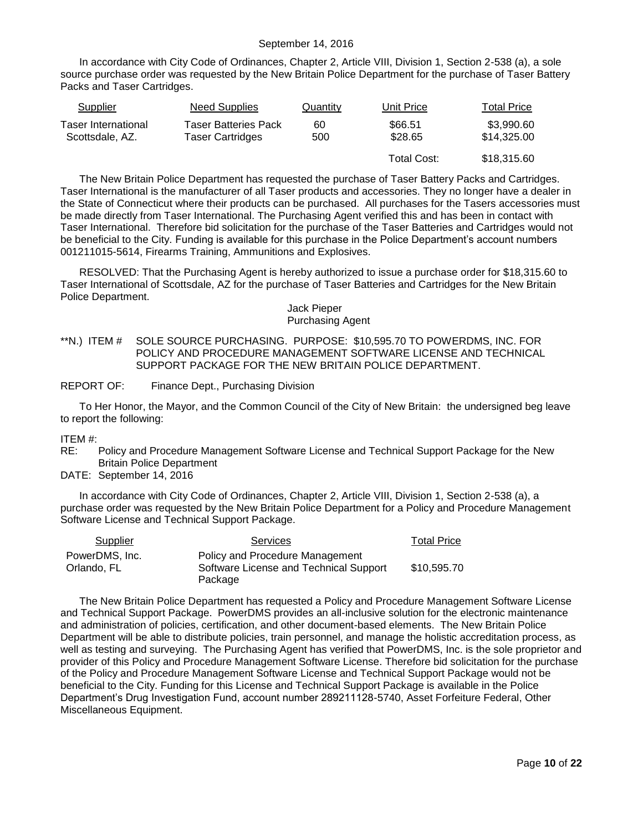In accordance with City Code of Ordinances, Chapter 2, Article VIII, Division 1, Section 2-538 (a), a sole source purchase order was requested by the New Britain Police Department for the purchase of Taser Battery Packs and Taser Cartridges.

| Supplier                                      | Need Supplies                            | Quantity  | Unit Price         | <b>Total Price</b>        |
|-----------------------------------------------|------------------------------------------|-----------|--------------------|---------------------------|
| <b>Taser International</b><br>Scottsdale, AZ. | Taser Batteries Pack<br>Taser Cartridges | 60<br>500 | \$66.51<br>\$28.65 | \$3,990.60<br>\$14,325.00 |
|                                               |                                          |           | Total Cost:        | \$18,315.60               |

The New Britain Police Department has requested the purchase of Taser Battery Packs and Cartridges. Taser International is the manufacturer of all Taser products and accessories. They no longer have a dealer in the State of Connecticut where their products can be purchased. All purchases for the Tasers accessories must be made directly from Taser International. The Purchasing Agent verified this and has been in contact with Taser International. Therefore bid solicitation for the purchase of the Taser Batteries and Cartridges would not be beneficial to the City. Funding is available for this purchase in the Police Department's account numbers 001211015-5614, Firearms Training, Ammunitions and Explosives.

RESOLVED: That the Purchasing Agent is hereby authorized to issue a purchase order for \$18,315.60 to Taser International of Scottsdale, AZ for the purchase of Taser Batteries and Cartridges for the New Britain Police Department.

### Jack Pieper Purchasing Agent

<span id="page-9-0"></span>\*\*N.) ITEM # SOLE SOURCE PURCHASING. PURPOSE: \$10,595.70 TO POWERDMS, INC. FOR POLICY AND PROCEDURE MANAGEMENT SOFTWARE LICENSE AND TECHNICAL SUPPORT PACKAGE FOR THE NEW BRITAIN POLICE DEPARTMENT.

#### REPORT OF: Finance Dept., Purchasing Division

To Her Honor, the Mayor, and the Common Council of the City of New Britain: the undersigned beg leave to report the following:

ITEM #:

- RE: Policy and Procedure Management Software License and Technical Support Package for the New Britain Police Department
- DATE: September 14, 2016

In accordance with City Code of Ordinances, Chapter 2, Article VIII, Division 1, Section 2-538 (a), a purchase order was requested by the New Britain Police Department for a Policy and Procedure Management Software License and Technical Support Package.

| Supplier                      | <b>Services</b>                                                                      | <b>Total Price</b> |
|-------------------------------|--------------------------------------------------------------------------------------|--------------------|
| PowerDMS, Inc.<br>Orlando, FL | Policy and Procedure Management<br>Software License and Technical Support<br>Package | \$10,595.70        |

The New Britain Police Department has requested a Policy and Procedure Management Software License and Technical Support Package. PowerDMS provides an all-inclusive solution for the electronic maintenance and administration of policies, certification, and other document-based elements. The New Britain Police Department will be able to distribute policies, train personnel, and manage the holistic accreditation process, as well as testing and surveying. The Purchasing Agent has verified that PowerDMS, Inc. is the sole proprietor and provider of this Policy and Procedure Management Software License. Therefore bid solicitation for the purchase of the Policy and Procedure Management Software License and Technical Support Package would not be beneficial to the City. Funding for this License and Technical Support Package is available in the Police Department's Drug Investigation Fund, account number 289211128-5740, Asset Forfeiture Federal, Other Miscellaneous Equipment.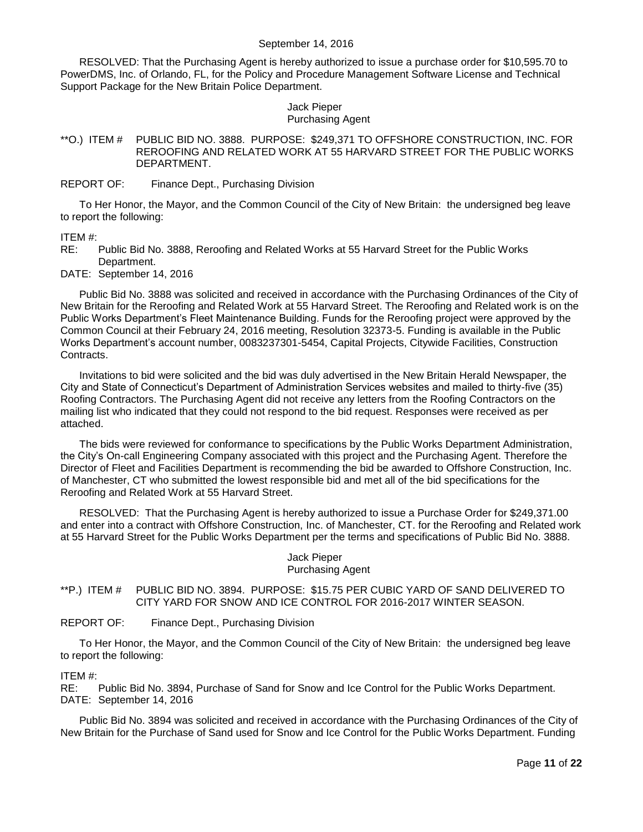RESOLVED: That the Purchasing Agent is hereby authorized to issue a purchase order for \$10,595.70 to PowerDMS, Inc. of Orlando, FL, for the Policy and Procedure Management Software License and Technical Support Package for the New Britain Police Department.

# Jack Pieper

### Purchasing Agent

### <span id="page-10-0"></span>\*\*O.) ITEM # PUBLIC BID NO. 3888. PURPOSE: \$249,371 TO OFFSHORE CONSTRUCTION, INC. FOR REROOFING AND RELATED WORK AT 55 HARVARD STREET FOR THE PUBLIC WORKS DEPARTMENT.

### REPORT OF: Finance Dept., Purchasing Division

To Her Honor, the Mayor, and the Common Council of the City of New Britain: the undersigned beg leave to report the following:

ITEM #:

RE: Public Bid No. 3888, Reroofing and Related Works at 55 Harvard Street for the Public Works Department.

DATE: September 14, 2016

Public Bid No. 3888 was solicited and received in accordance with the Purchasing Ordinances of the City of New Britain for the Reroofing and Related Work at 55 Harvard Street. The Reroofing and Related work is on the Public Works Department's Fleet Maintenance Building. Funds for the Reroofing project were approved by the Common Council at their February 24, 2016 meeting, Resolution 32373-5. Funding is available in the Public Works Department's account number, 0083237301-5454, Capital Projects, Citywide Facilities, Construction Contracts.

Invitations to bid were solicited and the bid was duly advertised in the New Britain Herald Newspaper, the City and State of Connecticut's Department of Administration Services websites and mailed to thirty-five (35) Roofing Contractors. The Purchasing Agent did not receive any letters from the Roofing Contractors on the mailing list who indicated that they could not respond to the bid request. Responses were received as per attached.

The bids were reviewed for conformance to specifications by the Public Works Department Administration, the City's On-call Engineering Company associated with this project and the Purchasing Agent. Therefore the Director of Fleet and Facilities Department is recommending the bid be awarded to Offshore Construction, Inc. of Manchester, CT who submitted the lowest responsible bid and met all of the bid specifications for the Reroofing and Related Work at 55 Harvard Street.

RESOLVED: That the Purchasing Agent is hereby authorized to issue a Purchase Order for \$249,371.00 and enter into a contract with Offshore Construction, Inc. of Manchester, CT. for the Reroofing and Related work at 55 Harvard Street for the Public Works Department per the terms and specifications of Public Bid No. 3888.

## Jack Pieper Purchasing Agent

<span id="page-10-1"></span>\*\*P.) ITEM # PUBLIC BID NO. 3894. PURPOSE: \$15.75 PER CUBIC YARD OF SAND DELIVERED TO CITY YARD FOR SNOW AND ICE CONTROL FOR 2016-2017 WINTER SEASON.

REPORT OF: Finance Dept., Purchasing Division

To Her Honor, the Mayor, and the Common Council of the City of New Britain: the undersigned beg leave to report the following:

### ITEM #:

RE: Public Bid No. 3894, Purchase of Sand for Snow and Ice Control for the Public Works Department. DATE: September 14, 2016

Public Bid No. 3894 was solicited and received in accordance with the Purchasing Ordinances of the City of New Britain for the Purchase of Sand used for Snow and Ice Control for the Public Works Department. Funding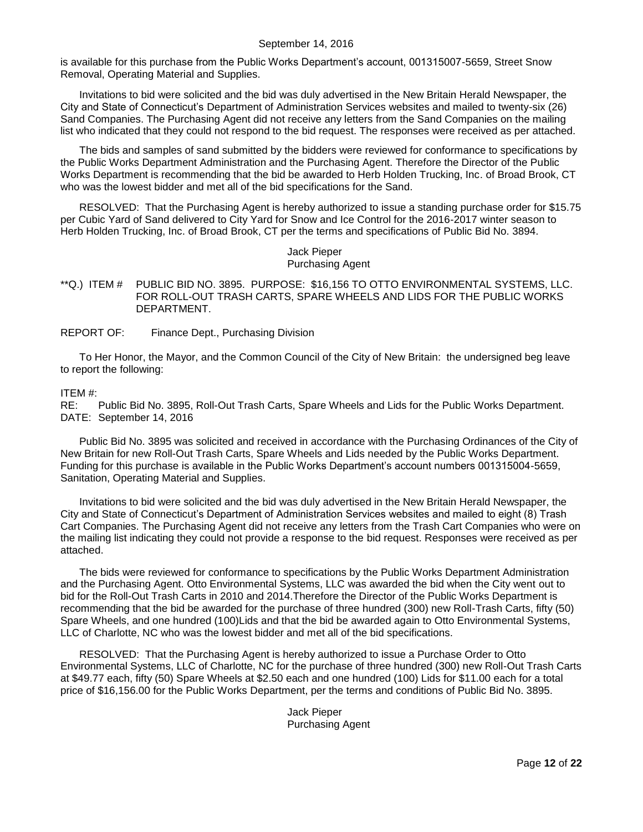is available for this purchase from the Public Works Department's account, 001315007-5659, Street Snow Removal, Operating Material and Supplies.

Invitations to bid were solicited and the bid was duly advertised in the New Britain Herald Newspaper, the City and State of Connecticut's Department of Administration Services websites and mailed to twenty-six (26) Sand Companies. The Purchasing Agent did not receive any letters from the Sand Companies on the mailing list who indicated that they could not respond to the bid request. The responses were received as per attached.

The bids and samples of sand submitted by the bidders were reviewed for conformance to specifications by the Public Works Department Administration and the Purchasing Agent. Therefore the Director of the Public Works Department is recommending that the bid be awarded to Herb Holden Trucking, Inc. of Broad Brook, CT who was the lowest bidder and met all of the bid specifications for the Sand.

RESOLVED: That the Purchasing Agent is hereby authorized to issue a standing purchase order for \$15.75 per Cubic Yard of Sand delivered to City Yard for Snow and Ice Control for the 2016-2017 winter season to Herb Holden Trucking, Inc. of Broad Brook, CT per the terms and specifications of Public Bid No. 3894.

### Jack Pieper Purchasing Agent

### <span id="page-11-0"></span>\*\*Q.) ITEM # PUBLIC BID NO. 3895. PURPOSE: \$16,156 TO OTTO ENVIRONMENTAL SYSTEMS, LLC. FOR ROLL-OUT TRASH CARTS, SPARE WHEELS AND LIDS FOR THE PUBLIC WORKS DEPARTMENT.

REPORT OF: Finance Dept., Purchasing Division

To Her Honor, the Mayor, and the Common Council of the City of New Britain: the undersigned beg leave to report the following:

#### ITEM #:

RE: Public Bid No. 3895, Roll-Out Trash Carts, Spare Wheels and Lids for the Public Works Department. DATE: September 14, 2016

Public Bid No. 3895 was solicited and received in accordance with the Purchasing Ordinances of the City of New Britain for new Roll-Out Trash Carts, Spare Wheels and Lids needed by the Public Works Department. Funding for this purchase is available in the Public Works Department's account numbers 001315004-5659, Sanitation, Operating Material and Supplies.

Invitations to bid were solicited and the bid was duly advertised in the New Britain Herald Newspaper, the City and State of Connecticut's Department of Administration Services websites and mailed to eight (8) Trash Cart Companies. The Purchasing Agent did not receive any letters from the Trash Cart Companies who were on the mailing list indicating they could not provide a response to the bid request. Responses were received as per attached.

The bids were reviewed for conformance to specifications by the Public Works Department Administration and the Purchasing Agent. Otto Environmental Systems, LLC was awarded the bid when the City went out to bid for the Roll-Out Trash Carts in 2010 and 2014.Therefore the Director of the Public Works Department is recommending that the bid be awarded for the purchase of three hundred (300) new Roll-Trash Carts, fifty (50) Spare Wheels, and one hundred (100)Lids and that the bid be awarded again to Otto Environmental Systems, LLC of Charlotte, NC who was the lowest bidder and met all of the bid specifications.

RESOLVED: That the Purchasing Agent is hereby authorized to issue a Purchase Order to Otto Environmental Systems, LLC of Charlotte, NC for the purchase of three hundred (300) new Roll-Out Trash Carts at \$49.77 each, fifty (50) Spare Wheels at \$2.50 each and one hundred (100) Lids for \$11.00 each for a total price of \$16,156.00 for the Public Works Department, per the terms and conditions of Public Bid No. 3895.

> Jack Pieper Purchasing Agent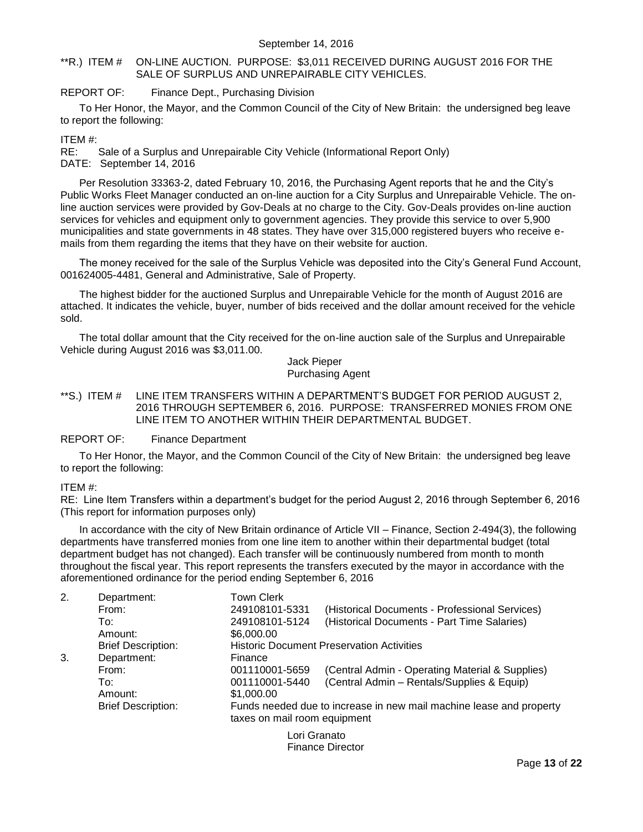### <span id="page-12-0"></span>\*\*R.) ITEM # ON-LINE AUCTION. PURPOSE: \$3,011 RECEIVED DURING AUGUST 2016 FOR THE SALE OF SURPLUS AND UNREPAIRABLE CITY VEHICLES.

### REPORT OF: Finance Dept., Purchasing Division

To Her Honor, the Mayor, and the Common Council of the City of New Britain: the undersigned beg leave to report the following:

### ITEM #:

RE: Sale of a Surplus and Unrepairable City Vehicle (Informational Report Only)

DATE: September 14, 2016

Per Resolution 33363-2, dated February 10, 2016, the Purchasing Agent reports that he and the City's Public Works Fleet Manager conducted an on-line auction for a City Surplus and Unrepairable Vehicle. The online auction services were provided by Gov-Deals at no charge to the City. Gov-Deals provides on-line auction services for vehicles and equipment only to government agencies. They provide this service to over 5,900 municipalities and state governments in 48 states. They have over 315,000 registered buyers who receive emails from them regarding the items that they have on their website for auction.

The money received for the sale of the Surplus Vehicle was deposited into the City's General Fund Account, 001624005-4481, General and Administrative, Sale of Property.

The highest bidder for the auctioned Surplus and Unrepairable Vehicle for the month of August 2016 are attached. It indicates the vehicle, buyer, number of bids received and the dollar amount received for the vehicle sold.

The total dollar amount that the City received for the on-line auction sale of the Surplus and Unrepairable Vehicle during August 2016 was \$3,011.00.

> Jack Pieper Purchasing Agent

<span id="page-12-1"></span>\*\*S.) ITEM # LINE ITEM TRANSFERS WITHIN A DEPARTMENT'S BUDGET FOR PERIOD AUGUST 2, 2016 THROUGH SEPTEMBER 6, 2016. PURPOSE: TRANSFERRED MONIES FROM ONE LINE ITEM TO ANOTHER WITHIN THEIR DEPARTMENTAL BUDGET.

REPORT OF: Finance Department

To Her Honor, the Mayor, and the Common Council of the City of New Britain: the undersigned beg leave to report the following:

### ITEM #:

RE: Line Item Transfers within a department's budget for the period August 2, 2016 through September 6, 2016 (This report for information purposes only)

In accordance with the city of New Britain ordinance of Article VII – Finance, Section 2-494(3), the following departments have transferred monies from one line item to another within their departmental budget (total department budget has not changed). Each transfer will be continuously numbered from month to month throughout the fiscal year. This report represents the transfers executed by the mayor in accordance with the aforementioned ordinance for the period ending September 6, 2016

| 2. | Department:               | <b>Town Clerk</b>            |                                                                     |
|----|---------------------------|------------------------------|---------------------------------------------------------------------|
|    | From:                     | 249108101-5331               | (Historical Documents - Professional Services)                      |
|    | To:                       | 249108101-5124               | (Historical Documents - Part Time Salaries)                         |
|    | Amount:                   | \$6,000.00                   |                                                                     |
|    | <b>Brief Description:</b> |                              | <b>Historic Document Preservation Activities</b>                    |
| 3. | Department:               | Finance                      |                                                                     |
|    | From:                     | 001110001-5659               | (Central Admin - Operating Material & Supplies)                     |
|    | To:                       | 001110001-5440               | (Central Admin - Rentals/Supplies & Equip)                          |
|    | Amount:                   | \$1,000.00                   |                                                                     |
|    | <b>Brief Description:</b> |                              | Funds needed due to increase in new mail machine lease and property |
|    |                           | taxes on mail room equipment |                                                                     |

Lori Granato Finance Director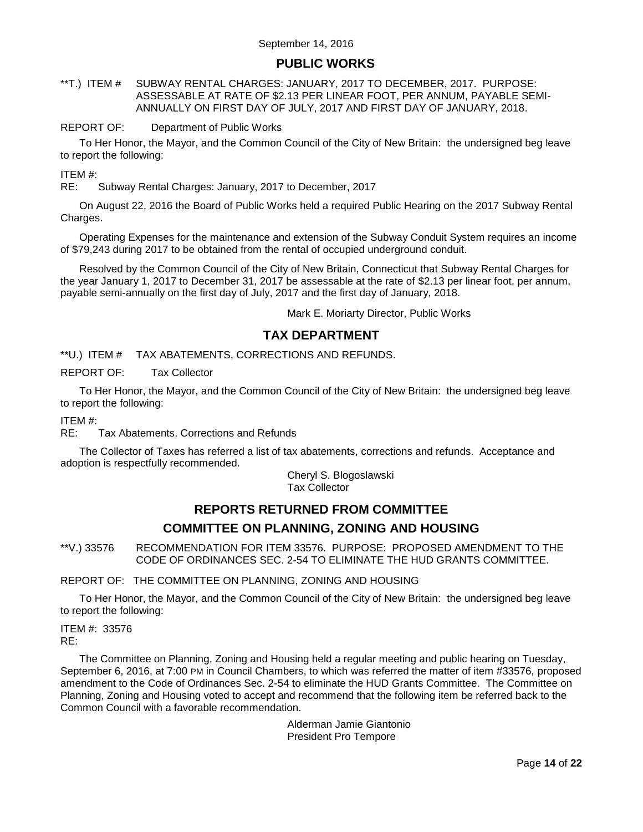## **PUBLIC WORKS**

<span id="page-13-0"></span>\*\*T.) ITEM # SUBWAY RENTAL CHARGES: JANUARY, 2017 TO DECEMBER, 2017. PURPOSE: ASSESSABLE AT RATE OF \$2.13 PER LINEAR FOOT, PER ANNUM, PAYABLE SEMI-ANNUALLY ON FIRST DAY OF JULY, 2017 AND FIRST DAY OF JANUARY, 2018.

REPORT OF: Department of Public Works

To Her Honor, the Mayor, and the Common Council of the City of New Britain: the undersigned beg leave to report the following:

ITEM #:

RE: Subway Rental Charges: January, 2017 to December, 2017

On August 22, 2016 the Board of Public Works held a required Public Hearing on the 2017 Subway Rental Charges.

Operating Expenses for the maintenance and extension of the Subway Conduit System requires an income of \$79,243 during 2017 to be obtained from the rental of occupied underground conduit.

Resolved by the Common Council of the City of New Britain, Connecticut that Subway Rental Charges for the year January 1, 2017 to December 31, 2017 be assessable at the rate of \$2.13 per linear foot, per annum, payable semi-annually on the first day of July, 2017 and the first day of January, 2018.

Mark E. Moriarty Director, Public Works

## **TAX DEPARTMENT**

<span id="page-13-1"></span>\*\*U.) ITEM # TAX ABATEMENTS, CORRECTIONS AND REFUNDS.

REPORT OF: Tax Collector

To Her Honor, the Mayor, and the Common Council of the City of New Britain: the undersigned beg leave to report the following:

ITEM #:

RE: Tax Abatements, Corrections and Refunds

The Collector of Taxes has referred a list of tax abatements, corrections and refunds. Acceptance and adoption is respectfully recommended.

> Cheryl S. Blogoslawski Tax Collector

# **REPORTS RETURNED FROM COMMITTEE COMMITTEE ON PLANNING, ZONING AND HOUSING**

<span id="page-13-2"></span>\*\*V.) 33576 RECOMMENDATION FOR ITEM 33576. PURPOSE: PROPOSED AMENDMENT TO THE CODE OF ORDINANCES SEC. 2-54 TO ELIMINATE THE HUD GRANTS COMMITTEE.

REPORT OF: THE COMMITTEE ON PLANNING, ZONING AND HOUSING

To Her Honor, the Mayor, and the Common Council of the City of New Britain: the undersigned beg leave to report the following:

ITEM #: 33576 RE:

The Committee on Planning, Zoning and Housing held a regular meeting and public hearing on Tuesday, September 6, 2016, at 7:00 PM in Council Chambers, to which was referred the matter of item #33576, proposed amendment to the Code of Ordinances Sec. 2-54 to eliminate the HUD Grants Committee. The Committee on Planning, Zoning and Housing voted to accept and recommend that the following item be referred back to the Common Council with a favorable recommendation.

> Alderman Jamie Giantonio President Pro Tempore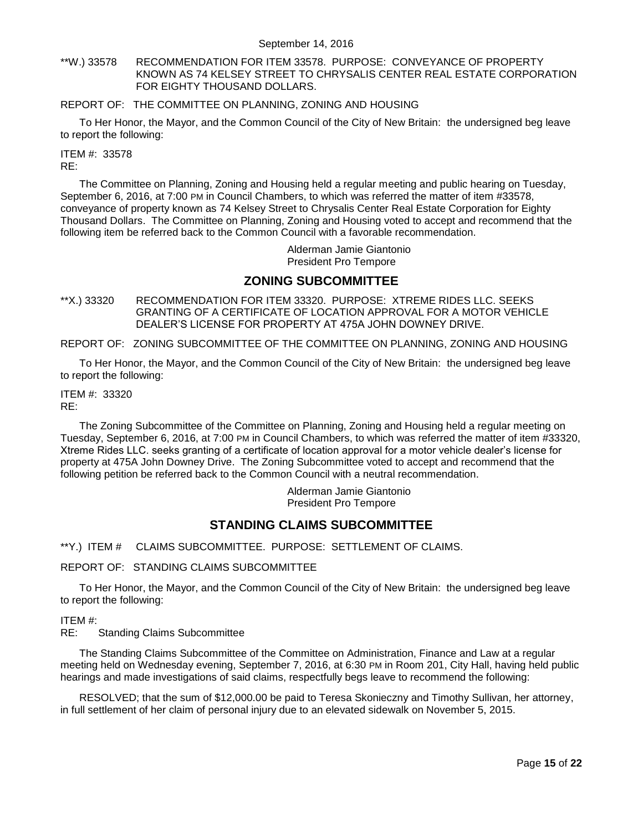<span id="page-14-0"></span>\*\*W.) 33578 RECOMMENDATION FOR ITEM 33578. PURPOSE: CONVEYANCE OF PROPERTY KNOWN AS 74 KELSEY STREET TO CHRYSALIS CENTER REAL ESTATE CORPORATION FOR EIGHTY THOUSAND DOLLARS.

### REPORT OF: THE COMMITTEE ON PLANNING, ZONING AND HOUSING

To Her Honor, the Mayor, and the Common Council of the City of New Britain: the undersigned beg leave to report the following:

#### ITEM #: 33578 RE:

The Committee on Planning, Zoning and Housing held a regular meeting and public hearing on Tuesday, September 6, 2016, at 7:00 PM in Council Chambers, to which was referred the matter of item #33578, conveyance of property known as 74 Kelsey Street to Chrysalis Center Real Estate Corporation for Eighty Thousand Dollars. The Committee on Planning, Zoning and Housing voted to accept and recommend that the following item be referred back to the Common Council with a favorable recommendation.

> Alderman Jamie Giantonio President Pro Tempore

## **ZONING SUBCOMMITTEE**

<span id="page-14-1"></span>\*\*X.) 33320 RECOMMENDATION FOR ITEM 33320. PURPOSE: XTREME RIDES LLC. SEEKS GRANTING OF A CERTIFICATE OF LOCATION APPROVAL FOR A MOTOR VEHICLE DEALER'S LICENSE FOR PROPERTY AT 475A JOHN DOWNEY DRIVE.

REPORT OF: ZONING SUBCOMMITTEE OF THE COMMITTEE ON PLANNING, ZONING AND HOUSING

To Her Honor, the Mayor, and the Common Council of the City of New Britain: the undersigned beg leave to report the following:

ITEM #: 33320 RE:

The Zoning Subcommittee of the Committee on Planning, Zoning and Housing held a regular meeting on Tuesday, September 6, 2016, at 7:00 PM in Council Chambers, to which was referred the matter of item #33320, Xtreme Rides LLC. seeks granting of a certificate of location approval for a motor vehicle dealer's license for property at 475A John Downey Drive. The Zoning Subcommittee voted to accept and recommend that the following petition be referred back to the Common Council with a neutral recommendation.

> Alderman Jamie Giantonio President Pro Tempore

## **STANDING CLAIMS SUBCOMMITTEE**

<span id="page-14-2"></span>\*\*Y.) ITEM # CLAIMS SUBCOMMITTEE. PURPOSE: SETTLEMENT OF CLAIMS.

REPORT OF: STANDING CLAIMS SUBCOMMITTEE

To Her Honor, the Mayor, and the Common Council of the City of New Britain: the undersigned beg leave to report the following:

ITEM #:

RE: Standing Claims Subcommittee

The Standing Claims Subcommittee of the Committee on Administration, Finance and Law at a regular meeting held on Wednesday evening, September 7, 2016, at 6:30 PM in Room 201, City Hall, having held public hearings and made investigations of said claims, respectfully begs leave to recommend the following:

RESOLVED; that the sum of \$12,000.00 be paid to Teresa Skonieczny and Timothy Sullivan, her attorney, in full settlement of her claim of personal injury due to an elevated sidewalk on November 5, 2015.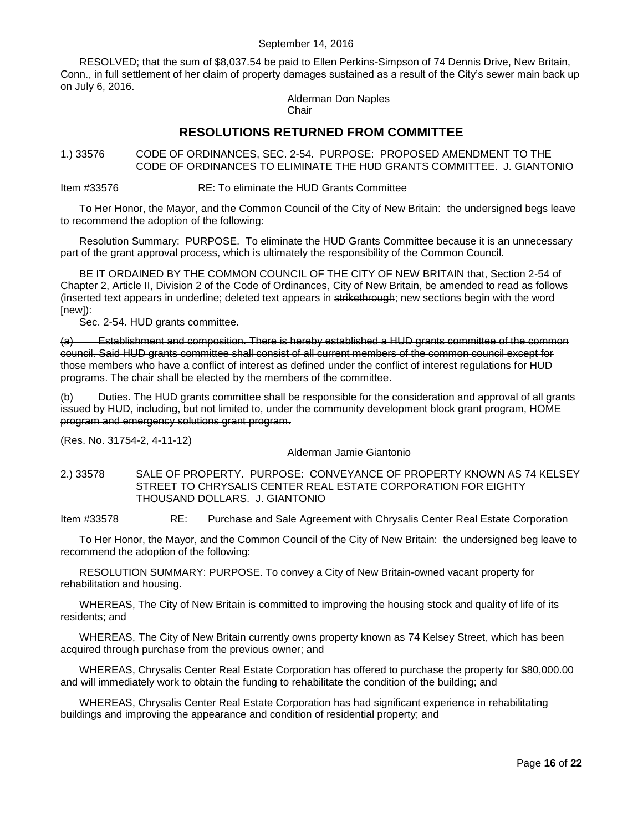RESOLVED; that the sum of \$8,037.54 be paid to Ellen Perkins-Simpson of 74 Dennis Drive, New Britain, Conn., in full settlement of her claim of property damages sustained as a result of the City's sewer main back up on July 6, 2016.

> Alderman Don Naples **Chair**

## **RESOLUTIONS RETURNED FROM COMMITTEE**

<span id="page-15-0"></span>1.) 33576 CODE OF ORDINANCES, SEC. 2-54. PURPOSE: PROPOSED AMENDMENT TO THE CODE OF ORDINANCES TO ELIMINATE THE HUD GRANTS COMMITTEE. J. GIANTONIO

Item #33576 RE: To eliminate the HUD Grants Committee

To Her Honor, the Mayor, and the Common Council of the City of New Britain: the undersigned begs leave to recommend the adoption of the following:

Resolution Summary: PURPOSE. To eliminate the HUD Grants Committee because it is an unnecessary part of the grant approval process, which is ultimately the responsibility of the Common Council.

BE IT ORDAINED BY THE COMMON COUNCIL OF THE CITY OF NEW BRITAIN that, Section 2-54 of Chapter 2, Article II, Division 2 of the Code of Ordinances, City of New Britain, be amended to read as follows (inserted text appears in underline; deleted text appears in strikethrough; new sections begin with the word [new]):

Sec. 2-54. HUD grants committee.

(a) Establishment and composition. There is hereby established a HUD grants committee of the common council. Said HUD grants committee shall consist of all current members of the common council except for those members who have a conflict of interest as defined under the conflict of interest regulations for HUD programs. The chair shall be elected by the members of the committee.

(b) Duties. The HUD grants committee shall be responsible for the consideration and approval of all grants issued by HUD, including, but not limited to, under the community development block grant program, HOME program and emergency solutions grant program.

(Res. No. 31754-2, 4-11-12)

Alderman Jamie Giantonio

<span id="page-15-1"></span>2.) 33578 SALE OF PROPERTY. PURPOSE: CONVEYANCE OF PROPERTY KNOWN AS 74 KELSEY STREET TO CHRYSALIS CENTER REAL ESTATE CORPORATION FOR EIGHTY THOUSAND DOLLARS. J. GIANTONIO

Item #33578 RE: Purchase and Sale Agreement with Chrysalis Center Real Estate Corporation

To Her Honor, the Mayor, and the Common Council of the City of New Britain: the undersigned beg leave to recommend the adoption of the following:

RESOLUTION SUMMARY: PURPOSE. To convey a City of New Britain-owned vacant property for rehabilitation and housing.

WHEREAS, The City of New Britain is committed to improving the housing stock and quality of life of its residents; and

WHEREAS, The City of New Britain currently owns property known as 74 Kelsey Street, which has been acquired through purchase from the previous owner; and

WHEREAS, Chrysalis Center Real Estate Corporation has offered to purchase the property for \$80,000.00 and will immediately work to obtain the funding to rehabilitate the condition of the building; and

WHEREAS, Chrysalis Center Real Estate Corporation has had significant experience in rehabilitating buildings and improving the appearance and condition of residential property; and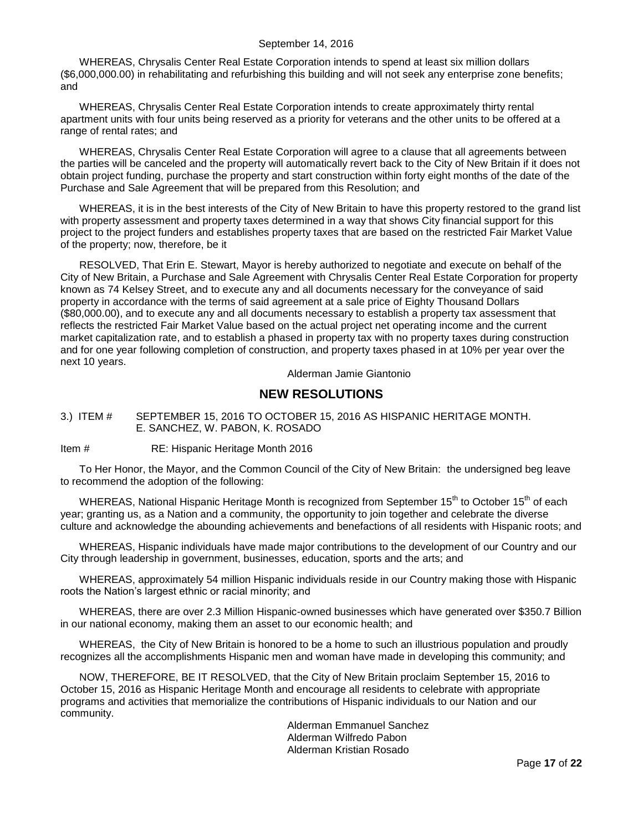WHEREAS, Chrysalis Center Real Estate Corporation intends to spend at least six million dollars (\$6,000,000.00) in rehabilitating and refurbishing this building and will not seek any enterprise zone benefits; and

WHEREAS, Chrysalis Center Real Estate Corporation intends to create approximately thirty rental apartment units with four units being reserved as a priority for veterans and the other units to be offered at a range of rental rates; and

WHEREAS, Chrysalis Center Real Estate Corporation will agree to a clause that all agreements between the parties will be canceled and the property will automatically revert back to the City of New Britain if it does not obtain project funding, purchase the property and start construction within forty eight months of the date of the Purchase and Sale Agreement that will be prepared from this Resolution; and

WHEREAS, it is in the best interests of the City of New Britain to have this property restored to the grand list with property assessment and property taxes determined in a way that shows City financial support for this project to the project funders and establishes property taxes that are based on the restricted Fair Market Value of the property; now, therefore, be it

RESOLVED, That Erin E. Stewart, Mayor is hereby authorized to negotiate and execute on behalf of the City of New Britain, a Purchase and Sale Agreement with Chrysalis Center Real Estate Corporation for property known as 74 Kelsey Street, and to execute any and all documents necessary for the conveyance of said property in accordance with the terms of said agreement at a sale price of Eighty Thousand Dollars (\$80,000.00), and to execute any and all documents necessary to establish a property tax assessment that reflects the restricted Fair Market Value based on the actual project net operating income and the current market capitalization rate, and to establish a phased in property tax with no property taxes during construction and for one year following completion of construction, and property taxes phased in at 10% per year over the next 10 years.

Alderman Jamie Giantonio

## **NEW RESOLUTIONS**

<span id="page-16-0"></span>3.) ITEM # SEPTEMBER 15, 2016 TO OCTOBER 15, 2016 AS HISPANIC HERITAGE MONTH. E. SANCHEZ, W. PABON, K. ROSADO

Item # RE: Hispanic Heritage Month 2016

To Her Honor, the Mayor, and the Common Council of the City of New Britain: the undersigned beg leave to recommend the adoption of the following:

WHEREAS, National Hispanic Heritage Month is recognized from September 15<sup>th</sup> to October 15<sup>th</sup> of each year; granting us, as a Nation and a community, the opportunity to join together and celebrate the diverse culture and acknowledge the abounding achievements and benefactions of all residents with Hispanic roots; and

WHEREAS, Hispanic individuals have made major contributions to the development of our Country and our City through leadership in government, businesses, education, sports and the arts; and

WHEREAS, approximately 54 million Hispanic individuals reside in our Country making those with Hispanic roots the Nation's largest ethnic or racial minority; and

WHEREAS, there are over 2.3 Million Hispanic-owned businesses which have generated over \$350.7 Billion in our national economy, making them an asset to our economic health; and

WHEREAS, the City of New Britain is honored to be a home to such an illustrious population and proudly recognizes all the accomplishments Hispanic men and woman have made in developing this community; and

NOW, THEREFORE, BE IT RESOLVED, that the City of New Britain proclaim September 15, 2016 to October 15, 2016 as Hispanic Heritage Month and encourage all residents to celebrate with appropriate programs and activities that memorialize the contributions of Hispanic individuals to our Nation and our community.

> Alderman Emmanuel Sanchez Alderman Wilfredo Pabon Alderman Kristian Rosado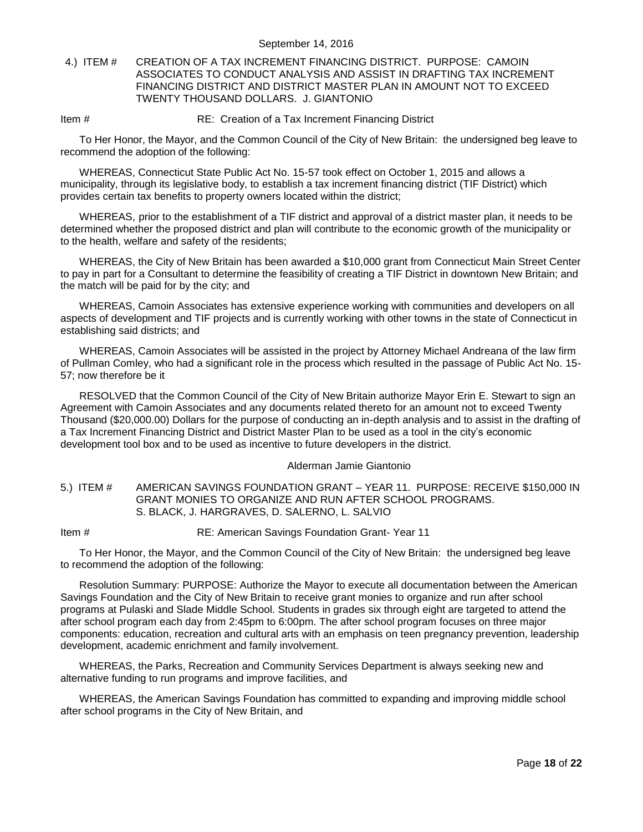### <span id="page-17-0"></span>4.) ITEM # CREATION OF A TAX INCREMENT FINANCING DISTRICT. PURPOSE: CAMOIN ASSOCIATES TO CONDUCT ANALYSIS AND ASSIST IN DRAFTING TAX INCREMENT FINANCING DISTRICT AND DISTRICT MASTER PLAN IN AMOUNT NOT TO EXCEED TWENTY THOUSAND DOLLARS. J. GIANTONIO

### Item # RE: Creation of a Tax Increment Financing District

To Her Honor, the Mayor, and the Common Council of the City of New Britain: the undersigned beg leave to recommend the adoption of the following:

WHEREAS, Connecticut State Public Act No. 15-57 took effect on October 1, 2015 and allows a municipality, through its legislative body, to establish a tax increment financing district (TIF District) which provides certain tax benefits to property owners located within the district;

WHEREAS, prior to the establishment of a TIF district and approval of a district master plan, it needs to be determined whether the proposed district and plan will contribute to the economic growth of the municipality or to the health, welfare and safety of the residents;

WHEREAS, the City of New Britain has been awarded a \$10,000 grant from Connecticut Main Street Center to pay in part for a Consultant to determine the feasibility of creating a TIF District in downtown New Britain; and the match will be paid for by the city; and

WHEREAS, Camoin Associates has extensive experience working with communities and developers on all aspects of development and TIF projects and is currently working with other towns in the state of Connecticut in establishing said districts; and

WHEREAS, Camoin Associates will be assisted in the project by Attorney Michael Andreana of the law firm of Pullman Comley, who had a significant role in the process which resulted in the passage of Public Act No. 15- 57; now therefore be it

RESOLVED that the Common Council of the City of New Britain authorize Mayor Erin E. Stewart to sign an Agreement with Camoin Associates and any documents related thereto for an amount not to exceed Twenty Thousand (\$20,000.00) Dollars for the purpose of conducting an in-depth analysis and to assist in the drafting of a Tax Increment Financing District and District Master Plan to be used as a tool in the city's economic development tool box and to be used as incentive to future developers in the district.

#### Alderman Jamie Giantonio

### <span id="page-17-1"></span>5.) ITEM # AMERICAN SAVINGS FOUNDATION GRANT – YEAR 11. PURPOSE: RECEIVE \$150,000 IN GRANT MONIES TO ORGANIZE AND RUN AFTER SCHOOL PROGRAMS. S. BLACK, J. HARGRAVES, D. SALERNO, L. SALVIO

Item # RE: American Savings Foundation Grant- Year 11

To Her Honor, the Mayor, and the Common Council of the City of New Britain: the undersigned beg leave to recommend the adoption of the following:

Resolution Summary: PURPOSE: Authorize the Mayor to execute all documentation between the American Savings Foundation and the City of New Britain to receive grant monies to organize and run after school programs at Pulaski and Slade Middle School. Students in grades six through eight are targeted to attend the after school program each day from 2:45pm to 6:00pm. The after school program focuses on three major components: education, recreation and cultural arts with an emphasis on teen pregnancy prevention, leadership development, academic enrichment and family involvement.

WHEREAS, the Parks, Recreation and Community Services Department is always seeking new and alternative funding to run programs and improve facilities, and

WHEREAS, the American Savings Foundation has committed to expanding and improving middle school after school programs in the City of New Britain, and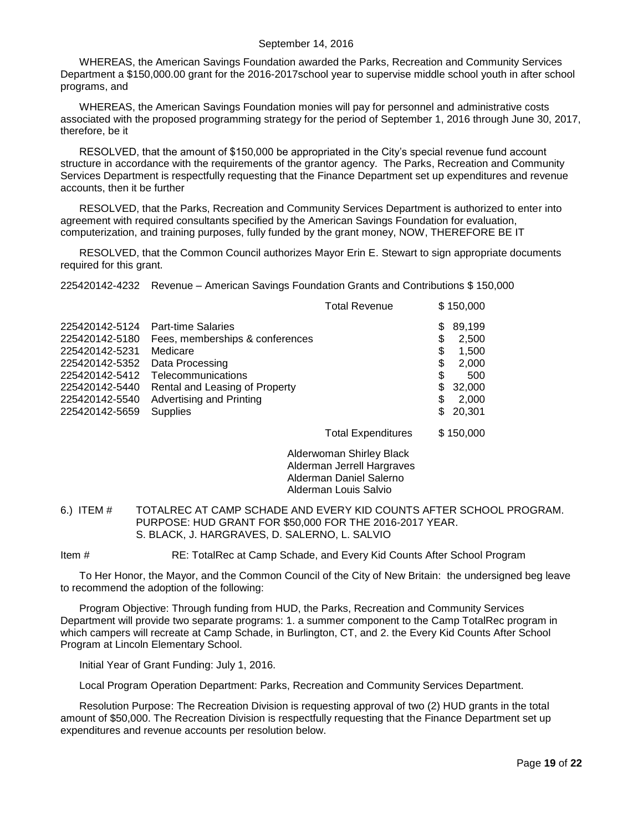WHEREAS, the American Savings Foundation awarded the Parks, Recreation and Community Services Department a \$150,000.00 grant for the 2016-2017school year to supervise middle school youth in after school programs, and

WHEREAS, the American Savings Foundation monies will pay for personnel and administrative costs associated with the proposed programming strategy for the period of September 1, 2016 through June 30, 2017, therefore, be it

RESOLVED, that the amount of \$150,000 be appropriated in the City's special revenue fund account structure in accordance with the requirements of the grantor agency. The Parks, Recreation and Community Services Department is respectfully requesting that the Finance Department set up expenditures and revenue accounts, then it be further

RESOLVED, that the Parks, Recreation and Community Services Department is authorized to enter into agreement with required consultants specified by the American Savings Foundation for evaluation, computerization, and training purposes, fully funded by the grant money, NOW, THEREFORE BE IT

RESOLVED, that the Common Council authorizes Mayor Erin E. Stewart to sign appropriate documents required for this grant.

225420142-4232 Revenue – American Savings Foundation Grants and Contributions \$ 150,000

|                |                                 | <b>Total Revenue</b>      |     | \$150,000 |
|----------------|---------------------------------|---------------------------|-----|-----------|
| 225420142-5124 | <b>Part-time Salaries</b>       |                           | S   | 89,199    |
| 225420142-5180 | Fees, memberships & conferences |                           | \$  | 2,500     |
| 225420142-5231 | Medicare                        |                           | \$  | 1,500     |
| 225420142-5352 | Data Processing                 |                           | \$  | 2,000     |
| 225420142-5412 | Telecommunications              |                           | \$  | 500       |
| 225420142-5440 | Rental and Leasing of Property  |                           | \$  | 32,000    |
| 225420142-5540 | Advertising and Printing        |                           | \$  | 2,000     |
| 225420142-5659 | <b>Supplies</b>                 |                           | \$. | 20,301    |
|                |                                 | <b>Total Expenditures</b> |     | \$150,000 |

Alderwoman Shirley Black Alderman Jerrell Hargraves Alderman Daniel Salerno Alderman Louis Salvio

<span id="page-18-0"></span>6.) ITEM # TOTALREC AT CAMP SCHADE AND EVERY KID COUNTS AFTER SCHOOL PROGRAM. PURPOSE: HUD GRANT FOR \$50,000 FOR THE 2016-2017 YEAR. S. BLACK, J. HARGRAVES, D. SALERNO, L. SALVIO

Item # RE: TotalRec at Camp Schade, and Every Kid Counts After School Program

To Her Honor, the Mayor, and the Common Council of the City of New Britain: the undersigned beg leave to recommend the adoption of the following:

Program Objective: Through funding from HUD, the Parks, Recreation and Community Services Department will provide two separate programs: 1. a summer component to the Camp TotalRec program in which campers will recreate at Camp Schade, in Burlington, CT, and 2. the Every Kid Counts After School Program at Lincoln Elementary School.

Initial Year of Grant Funding: July 1, 2016.

Local Program Operation Department: Parks, Recreation and Community Services Department.

Resolution Purpose: The Recreation Division is requesting approval of two (2) HUD grants in the total amount of \$50,000. The Recreation Division is respectfully requesting that the Finance Department set up expenditures and revenue accounts per resolution below.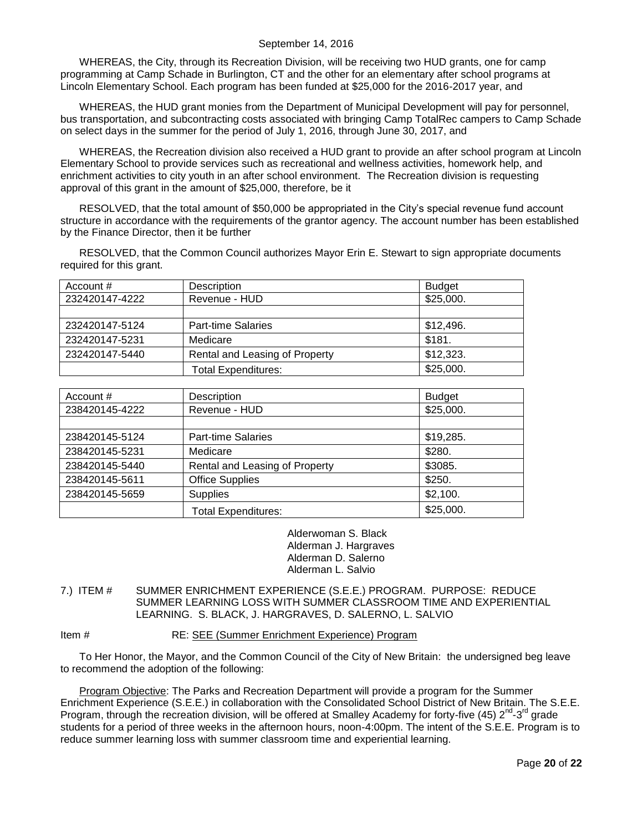WHEREAS, the City, through its Recreation Division, will be receiving two HUD grants, one for camp programming at Camp Schade in Burlington, CT and the other for an elementary after school programs at Lincoln Elementary School. Each program has been funded at \$25,000 for the 2016-2017 year, and

WHEREAS, the HUD grant monies from the Department of Municipal Development will pay for personnel, bus transportation, and subcontracting costs associated with bringing Camp TotalRec campers to Camp Schade on select days in the summer for the period of July 1, 2016, through June 30, 2017, and

WHEREAS, the Recreation division also received a HUD grant to provide an after school program at Lincoln Elementary School to provide services such as recreational and wellness activities, homework help, and enrichment activities to city youth in an after school environment. The Recreation division is requesting approval of this grant in the amount of \$25,000, therefore, be it

RESOLVED, that the total amount of \$50,000 be appropriated in the City's special revenue fund account structure in accordance with the requirements of the grantor agency. The account number has been established by the Finance Director, then it be further

RESOLVED, that the Common Council authorizes Mayor Erin E. Stewart to sign appropriate documents required for this grant.

| Account $#$    | Description                    | <b>Budget</b> |
|----------------|--------------------------------|---------------|
| 232420147-4222 | Revenue - HUD                  | \$25,000.     |
|                |                                |               |
| 232420147-5124 | <b>Part-time Salaries</b>      | \$12,496.     |
| 232420147-5231 | Medicare                       | \$181.        |
| 232420147-5440 | Rental and Leasing of Property | \$12,323.     |
|                | Total Expenditures:            | \$25,000.     |

| Account #      | Description                    | <b>Budget</b> |
|----------------|--------------------------------|---------------|
| 238420145-4222 | Revenue - HUD                  | \$25,000.     |
|                |                                |               |
| 238420145-5124 | <b>Part-time Salaries</b>      | \$19,285.     |
| 238420145-5231 | Medicare                       | \$280.        |
| 238420145-5440 | Rental and Leasing of Property | \$3085.       |
| 238420145-5611 | <b>Office Supplies</b>         | \$250.        |
| 238420145-5659 | <b>Supplies</b>                | \$2,100.      |
|                | <b>Total Expenditures:</b>     | \$25,000.     |

Alderwoman S. Black Alderman J. Hargraves Alderman D. Salerno Alderman L. Salvio

<span id="page-19-0"></span>7.) ITEM # SUMMER ENRICHMENT EXPERIENCE (S.E.E.) PROGRAM. PURPOSE: REDUCE SUMMER LEARNING LOSS WITH SUMMER CLASSROOM TIME AND EXPERIENTIAL LEARNING. S. BLACK, J. HARGRAVES, D. SALERNO, L. SALVIO

Item # RE: SEE (Summer Enrichment Experience) Program

To Her Honor, the Mayor, and the Common Council of the City of New Britain: the undersigned beg leave to recommend the adoption of the following:

Program Objective: The Parks and Recreation Department will provide a program for the Summer Enrichment Experience (S.E.E.) in collaboration with the Consolidated School District of New Britain. The S.E.E. Program, through the recreation division, will be offered at Smalley Academy for forty-five (45)  $2^{nd}$ -3<sup>rd</sup> grade students for a period of three weeks in the afternoon hours, noon-4:00pm. The intent of the S.E.E. Program is to reduce summer learning loss with summer classroom time and experiential learning.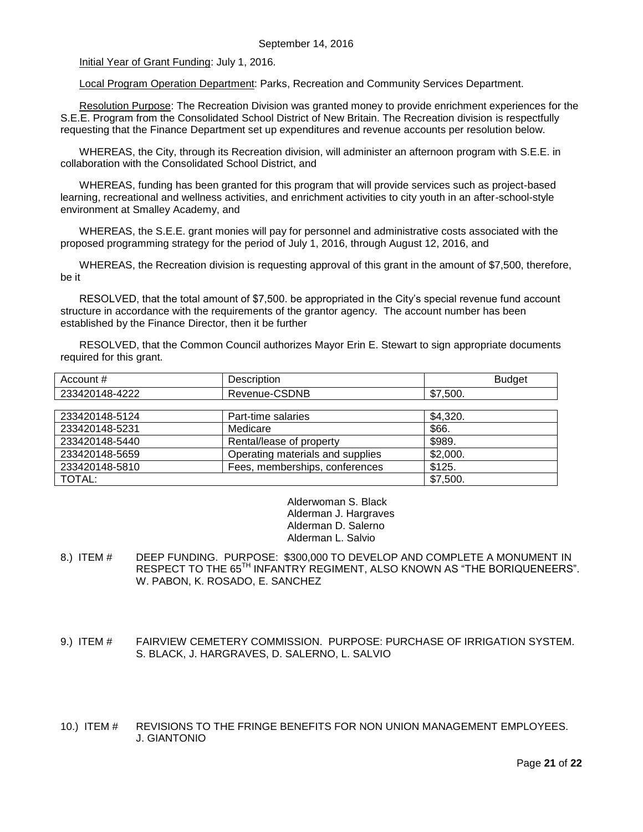Initial Year of Grant Funding: July 1, 2016.

Local Program Operation Department: Parks, Recreation and Community Services Department.

Resolution Purpose: The Recreation Division was granted money to provide enrichment experiences for the S.E.E. Program from the Consolidated School District of New Britain. The Recreation division is respectfully requesting that the Finance Department set up expenditures and revenue accounts per resolution below.

WHEREAS, the City, through its Recreation division, will administer an afternoon program with S.E.E. in collaboration with the Consolidated School District, and

WHEREAS, funding has been granted for this program that will provide services such as project-based learning, recreational and wellness activities, and enrichment activities to city youth in an after-school-style environment at Smalley Academy, and

WHEREAS, the S.E.E. grant monies will pay for personnel and administrative costs associated with the proposed programming strategy for the period of July 1, 2016, through August 12, 2016, and

WHEREAS, the Recreation division is requesting approval of this grant in the amount of \$7,500, therefore, be it

RESOLVED, that the total amount of \$7,500. be appropriated in the City's special revenue fund account structure in accordance with the requirements of the grantor agency. The account number has been established by the Finance Director, then it be further

RESOLVED, that the Common Council authorizes Mayor Erin E. Stewart to sign appropriate documents required for this grant.

| Account #      | Description                      | <b>Budget</b> |
|----------------|----------------------------------|---------------|
| 233420148-4222 | Revenue-CSDNB                    | \$7,500.      |
|                |                                  |               |
| 233420148-5124 | Part-time salaries               | \$4,320.      |
| 233420148-5231 | Medicare                         | \$66.         |
| 233420148-5440 | Rental/lease of property         | \$989.        |
| 233420148-5659 | Operating materials and supplies | \$2,000.      |
| 233420148-5810 | Fees, memberships, conferences   | \$125.        |
| TOTAL:         |                                  | \$7,500.      |

Alderwoman S. Black Alderman J. Hargraves Alderman D. Salerno Alderman L. Salvio

- <span id="page-20-0"></span>8.) ITEM # DEEP FUNDING. PURPOSE: \$300,000 TO DEVELOP AND COMPLETE A MONUMENT IN RESPECT TO THE 65<sup>TH</sup> INFANTRY REGIMENT, ALSO KNOWN AS "THE BORIQUENEERS". W. PABON, K. ROSADO, E. SANCHEZ
- <span id="page-20-1"></span>9.) ITEM # FAIRVIEW CEMETERY COMMISSION. PURPOSE: PURCHASE OF IRRIGATION SYSTEM. S. BLACK, J. HARGRAVES, D. SALERNO, L. SALVIO

<span id="page-20-2"></span>10.) ITEM # REVISIONS TO THE FRINGE BENEFITS FOR NON UNION MANAGEMENT EMPLOYEES. J. GIANTONIO